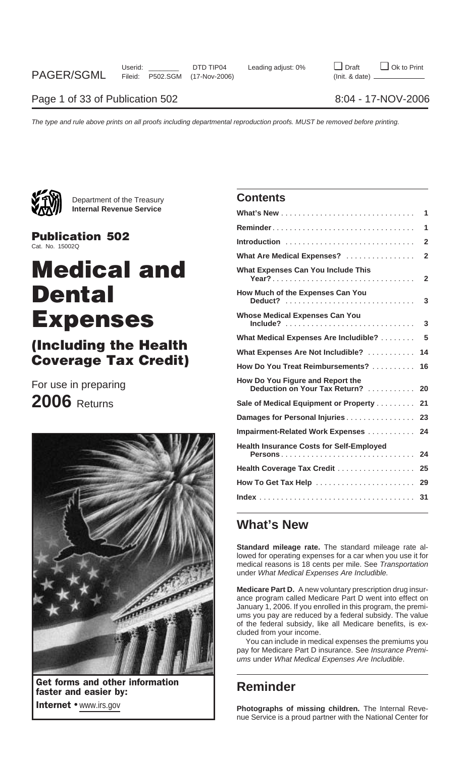

Department of the Treasury **Contents Internal Revenue Service** 

**Publication 502** Cat. No. 15002Q

# **Medical and Dental Expenses**

## **(Including the Health Coverage Tax Credit)**

**For use in preparing 2006 Returns** 



Get forms and other information **Reminder**<br> **Reminder** 

|                                                                   | 1              |
|-------------------------------------------------------------------|----------------|
|                                                                   | 1              |
|                                                                   | $\overline{2}$ |
| What Are Medical Expenses?                                        | $\overline{2}$ |
| <b>What Expenses Can You Include This</b>                         | $\overline{2}$ |
| How Much of the Expenses Can You                                  | 3              |
| <b>Whose Medical Expenses Can You</b><br>Include?                 | 3              |
| What Medical Expenses Are Includible?                             | 5              |
| What Expenses Are Not Includible?                                 | 14             |
| How Do You Treat Reimbursements?                                  | 16             |
| How Do You Figure and Report the<br>Deduction on Your Tax Return? | 20             |
| Sale of Medical Equipment or Property                             | 21             |
| Damages for Personal Injuries                                     | 23             |
| Impairment-Related Work Expenses                                  | 24             |
| <b>Health Insurance Costs for Self-Employed</b>                   | 24             |
| Health Coverage Tax Credit                                        | 25             |
| How To Get Tax Help                                               | 29             |
|                                                                   | 31             |

## **What's New**

**Standard mileage rate.** The standard mileage rate allowed for operating expenses for a car when you use it for medical reasons is 18 cents per mile. See Transportation under What Medical Expenses Are Includible.

**Medicare Part D.** A new voluntary prescription drug insurance program called Medicare Part D went into effect on January 1, 2006. If you enrolled in this program, the premiums you pay are reduced by a federal subsidy. The value of the federal subsidy, like all Medicare benefits, is excluded from your income.

You can include in medical expenses the premiums you pay for Medicare Part D insurance. See Insurance Premiums under What Medical Expenses Are Includible.

**Internet •** www.irs.gov nue Service is a proud partner with the National Center for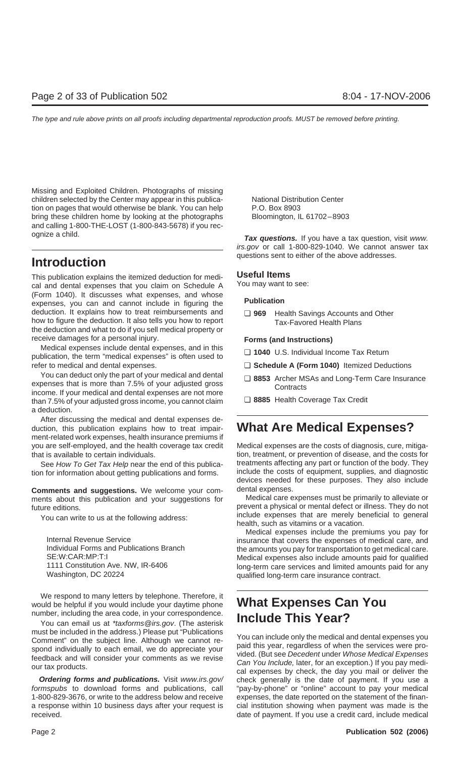Missing and Exploited Children. Photographs of missing children selected by the Center may appear in this publica- National Distribution Center tion on pages that would otherwise be blank. You can help P.O. Box 8903 bring these children home by looking at the photographs Bloomington, IL 61702–8903 and calling 1-800-THE-LOST (1-800-843-5678) if you recognize a child. **Tax questions.** If you have a tax question, visit www.

This publication explains the itemized deduction for medi-<br>
cal and dental expenses that you claim on Schedule A<sup>You may</sup> want to see: cal and dental expenses that you claim on Schedule A (Form 1040). It discusses what expenses, and whose **Publication** expenses, you can and cannot include in figuring the deduction. It explains how to treat reimbursements and **□ 969** Health Savings Accounts and Other how to figure the deduction. It also tells you how to report Tax-Favored Health Plans the deduction and what to do if you sell medical property or

receive damages for a personal injury.<br>Medical expenses include dental expenses, and in this<br> **Forms (and Instructions)** Medical expenses include dental expenses, and in this ❏ **<sup>1040</sup>** U.S. Individual Income Tax Return publication, the term "medical expenses" is often used to refer to medical and dental expenses. ❏ **Schedule A (Form 1040)** Itemized Deductions

You can deduct only the part of your medical and dental expenses that is more than 7.5% of your adjusted gross<br>income. If your medical and dental expenses are not more<br>than 7.5% of your adjusted gross income, vou cannot c than 7.5% of your adjusted gross income, you cannot claim a deduction.

After discussing the medical and dental expenses deduction, this publication explains how to treat impair- **What Are Medical Expenses?** ment-related work expenses, health insurance premiums if you are self-employed, and the health coverage tax credit Medical expenses are the costs of diagnosis, cure, mitigathat is available to certain individuals. tion, treatment, or prevention of disease, and the costs for

**Comments and suggestions.** We welcome your com-<br>ments about this publication and your suggestions for Medical care expenses must be primarily to alleviate or ments about this publication and your suggestions for prevent a physical or mental defect or illness. They do not future editions.

We respond to many letters by telephone. Therefore, it we respond to many letters by telephone. Therefore, it **What Expenses Can You** number, including the area code, in your correspondence.

You can email us at \*taxforms@irs.gov. (The asterisk **Include This Year?**

formspubs to download forms and publications, call "pay-by-phone" or "online" account to pay your medical 1-800-829-3676, or write to the address below and receive expenses, the date reported on the statement of the finana response within 10 business days after your request is cial institution showing when payment was made is the received. date of payment. If you use a credit card, include medical

irs.gov or call 1-800-829-1040. We cannot answer tax questions sent to either of the above addresses. **Introduction**

- 
- 
- 
- 

See How To Get Tax Help near the end of this publica-<br>treatments affecting any part or function of the body. They tion for information about getting publications and forms. include the costs of equipment, supplies, and diagnostic devices needed for these purposes. They also include

include expenses that are merely beneficial to general You can write to us at the following address: health, such as vitamins or a vacation.

Medical expenses include the premiums you pay for Internal Revenue Service<br>
Individual Forms and Publications Branch<br>
Individual Forms and Publications Branch<br>
Internation to get medical care Individual Forms and Publications Branch the amounts you pay for transportation to get medical care.<br>SE:W:CAR:MP:T:I Medical expenses also include amounts paid for qualified 1111 Constitution Ave. NW, IR-6406 long-term care services and limited amounts paid for any<br>washington, DC 20224 dualified long-term care insurance contract. qualified long-term care insurance contract.

must be included in the address.) Please put "Publications<br>Comment" on the subject line. Although we cannot re-<br>spond individually to each email, we do appreciate your<br>feedback and will consider your comments as we revise<br> **Ordering forms and publications.** Visit www.irs.gov/ check generally is the date of payment. If you use a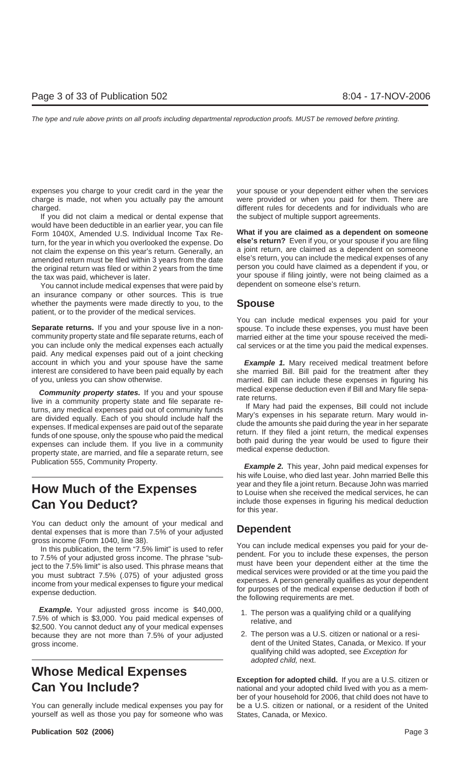expenses you charge to your credit card in the year the your spouse or your dependent either when the services charge is made, not when you actually pay the amount were provided or when you paid for them. There are charged. different rules for decedents and for individuals who are

If you did not claim a medical or dental expense that the subject of multiple support agreements. would have been deductible in an earlier year, you can file Form 1040X, Amended U.S. Individual Income Tax Re- **What if you are claimed as a dependent on someone** turn, for the year in which you overlooked the expense. Do **else's return?** Even if you, or your spouse if you are filing not claim the expense on this year's return. Generally, an a joint return, are claimed as a dependent on someone<br>amended return must be filed within 3 years from the date else's return, you can include the medical expenses amended return must be filed within 3 years from the date else's return, you can include the medical expenses of any<br>the original return was filed or within 2 years from the time person you could have claimed as a dependen the original return was filed or within 2 years from the time

You cannot include medical expenses that were paid by an insurance company or other sources. This is true whether the payments were made directly to you, to the **Spouse** patient, or to the provider of the medical services.

**Separate returns.** If you and your spouse live in a non- spouse. To include these expenses, you must have been community property state and file separate returns, each of married either at the time your spouse received the mediyou can include only the medical expenses each actually cal services or at the time you paid the medical expenses. paid. Any medical expenses paid out of a joint checking account in which you and your spouse have the same **Example 1.** Mary received medical treatment before interest are considered to have been paid equally by each she married Bill. Bill paid for the treatment after they

**Community property states.** If you and your spouse the redical expense deduction even if Bill and Mary file sepa-<br>live in a community property state and file separate re-<br>turns, any medical expenses paid out of community

You can deduct only the amount of your medical and dental expenses that is more than 7.5% of your adjusted **Dependent**

**Example.** Your adjusted gross income is \$40,000,<br>
7.5% of which is \$3,000. You paid medical expenses of<br>
\$2,500. You cannot deduct any of your medical expenses<br>
because they are not more than 7.5% of your adjusted<br>
2. The because they are not more than 7.5% of your adjusted gross income. dent of the United States, Canada, or Mexico. If your

# **Whose Medical Expenses**<br>**Can You Include? Exception for adopted child.** If you are a U.S. citizen or **Can You Include? national and your adopted child lived with you as a mem-**

You can generally include medical expenses you pay for be a U.S. citizen or national, or a resident of the United yourself as well as those you pay for someone who was States, Canada, or Mexico.

the tax was paid, whichever is later.<br>You cannot include medical expenses that were paid by dependent on someone else's return.

You can include medical expenses you paid for your

of you, unless you can show otherwise. married. Bill can include these expenses in figuring his

Publication 555, Community Property. **Example 2.** This year, John paid medical expenses for his wife Louise, who died last year. John married Belle this **How Much of the Expenses** year and they file a joint return. Because John was married to Louise when she received the medical services, he can **Can You Deduct? Can You Deduct Can You Deduction for this year.** *for this year.* 

gross income (Form 1040, line 38).<br>
In this publication, the term "7.5% limit" is used to refer<br>
to 7.5% of your adjusted gross income. The phrase "sub-<br>
ject to the 7.5% limit" is also used. This phrase means that<br>
you mu

- 
- qualifying child was adopted, see Exception for adopted child, next.

ber of your household for 2006, that child does not have to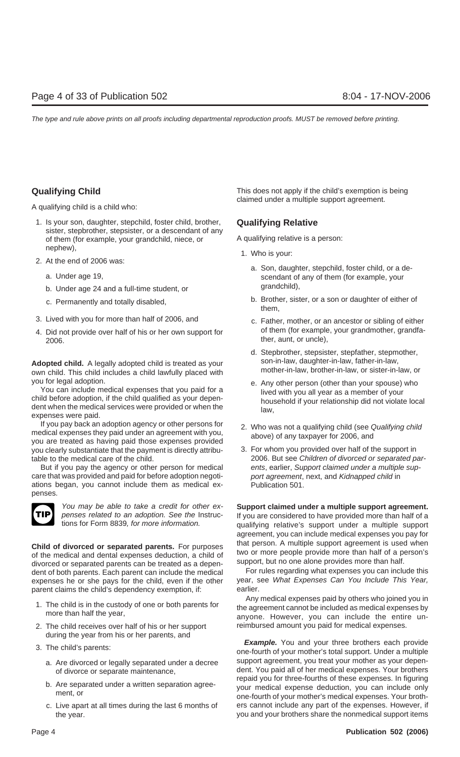A qualifying child is a child who:

- 1. Is your son, daughter, stepchild, foster child, brother, **Qualifying Relative** sister, stepbrother, stepsister, or a descendant of any of them (for example, your grandchild, niece, or A qualifying relative is a person: nephew), the contract of the contract of the contract of the contract of the contract of the contract of the contract of the contract of the contract of the contract of the contract of the contract of the contract of the c
- 2. At the end of 2006 was:
	-
	- grandchild), b. Under age 24 and a full-time student, or
	-
- 3. Lived with you for more than half of 2006, and c. Father, mother, or an ancestor or sibling of either
- 4. Did not provide over half of his or her own support for of them (for example, your grandmother, grandfa-2006. There is a set of the contract the contract of the contract of the contract of the contract of the contract of the contract of the contract of the contract of the contract of the contract of the contract of the contr

Adopted child. A legally adopted child is treated as your son-in-law, daughter-in-law, father-in-law, mother in-law, or sister-in-law, or sister-in-law, or or sister-in-law, or sister-in-law, or sister-in-law, or sister-in

you for legal adoption.<br>
You can include medical expenses that you paid for a<br>
child before adoption, if the child qualified as your depen-<br>
dent when the medical services were provided or when the<br>
expenses were paid.<br>
ex

If you pay back an adoption agency or other persons for<br>
medical expenses they paid under an agreement with you,<br>
you are treated as having paid those expenses provided<br>
you clearly substantiate that the payment is directl you clearly substantiate that the payment is directly attributable to the medical care of the child. 2006. But see Children of divorced or separated par-

But if you pay the agency or other person for medical ents, earlier, Support claimed under a multiple supcare that was provided and paid for before adoption negoti- port agreement, next, and Kidnapped child in ations began, you cannot include them as medical ex- Publication 501. penses.



You may be able to take a credit for other ex-<br>penses related to an adoption. See the Instruc-<br>If you are considered to have provided more than half of a

dent of both parents. Each parent can include the medical For rules regarding what expenses you can include this<br>expenses he or she pays for the child, even if the other year, see What Expenses Can You Include This Year, expenses he or she pays for the child, even if the other year, see arises the child's dependency exemption if earlier. parent claims the child's dependency exemption, if:

- 
- during the year from his or her parents, and
- -
	-
	-

**Qualifying Child** Child **This does not apply if the child's exemption is being** claimed under a multiple support agreement.

- 
- a. Son, daughter, stepchild, foster child, or a dea. Under age 19, scendant of any of them (for example, your
- c. Permanently and totally disabled, and the c. Permanently and totally disabled, them, them, them,
	-
	- d. Stepbrother, stepsister, stepfather, stepmother,
	-
	-
	-

penses related to an adoption. See the Instruc-<br>tions for Form 8839, for more information.<br>publishing relative's support under a multiple support qualifying relative's support under a multiple support agreement, you can include medical expenses you pay for **Child of divorced or separated parents.** For purposes that person. A multiple support agreement is used when of the medical and dental expenses deduction, a child of two or more people provide more than half of a person's

1. The child is in the custody of one or both parents for<br>more than half the year, more than half the year,<br>anyone. However, you can include the entire un-2. The child receives over half of his or her support reimbursed amount you paid for medical expenses.

**Example.** You and your three brothers each provide<br>3. The child's parents: one-fourth of your mother's total support. Under a multiple a. Are divorced or legally separated under a decree support agreement, you treat your mother as your depenof divorce or separate maintenance,<br>  $\begin{array}{c}\n\text{dent. You paid all of her medical expenses. Your brothers}\n\end{array}$ b. Are separated under a written separation agree-<br>we medical expense deduction, you can include only<br>one-fourth of your mother's medical expenses. Your brothc. Live apart at all times during the last 6 months of ers cannot include any part of the expenses. However, if the year. you and your brothers share the nonmedical support items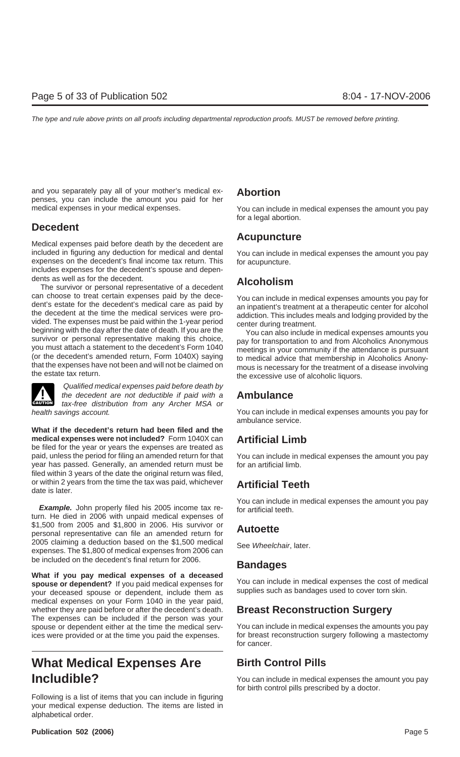and you separately pay all of your mother's medical ex- **Abortion** penses, you can include the amount you paid for her medical expenses in your medical expenses. You can include in medical expenses the amount you pay

## **Decedent**

**Acupuncture** Medical expenses paid before death by the decedent are included in figuring any deduction for medical and dental You can include in medical expenses the amount you pay expenses on the decedent's final income tax return. This for acupuncture. includes expenses for the decedent's spouse and dependents as well as for the decedent.

The survivor or personal representative of a decedent **Alcoholism** can choose to treat certain expenses paid by the dece-<br>dent's estate for the decedent's medical care as paid by<br>the decedent at the time the medical services were pro-<br>vided. The expenses must be paid within the 1-year per



 Qualified medical expenses paid before death by the decedent are not deductible if paid with a **Ambulance** tax-free distribution from any Archer MSA or

**What if the decedent's return had been filed and the medical expenses were not included?** Form 1040X can **Artificial Limb** be filed for the year or years the expenses are treated as paid, unless the period for filing an amended return for that You can include in medical expenses the amount you pay year has passed. Generally, an amended return must be for an artificial limb. filed within 3 years of the date the original return was filed, or within 2 years from the time the tax was paid, whichever **Artificial Teeth** date is later.

turn. He died in 2006 with unpaid medical expenses of \$1,500 from 2005 and \$1,800 in 2006. His survivor or **Autoette** personal representative can file an amended return for 2005 claiming a deduction based on the \$1,500 medical See Wheelchair, later.<br>expenses. The \$1,800 of medical expenses from 2006 can be included on the decedent's final return for 2006. **Bandages**

What if you pay medical expenses of a deceased<br>spouse or dependent? If you paid medical expenses for<br>your deceased spouse or dependent, include them as<br>supplies such as bandages used to cover torn skin. medical expenses on your Form 1040 in the year paid, whether they are paid before or after the decedent's death. **Breast Reconstruction Surgery** The expenses can be included if the person was your spouse or dependent either at the time the medical serv- You can include in medical expenses the amounts you pay ices were provided or at the time you paid the expenses. for breast reconstruction surgery following a mastectomy

## **What Medical Expenses Are Birth Control Pills Includible?** The Magnetic Section of the Countries of the amount you pay

Following is a list of items that you can include in figuring your medical expense deduction. The items are listed in alphabetical order.

for a legal abortion.

health savings account. You can include in medical expenses amounts you pay for ambulance service.

You can include in medical expenses the amount you pay **Example.** John properly filed his 2005 income tax re- for artificial teeth.

for cancer.

for birth control pills prescribed by a doctor.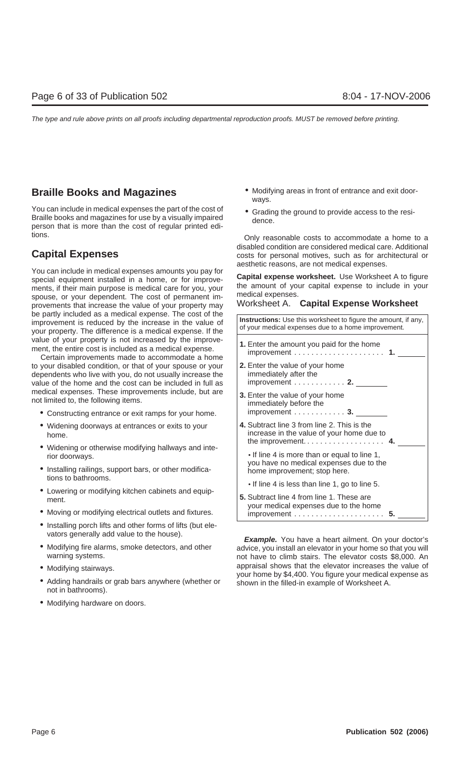You can include in medical expenses the part of the cost of Crading the ground to provide access to the resi-<br>Braille books and magazines for use by a visually impaired<br>person that is more than the cost of reqular printed

aesthetic reasons, are not medical expenses. You can include in medical expenses amounts you pay for **Capital expense worksheet.** Use Worksheet A to figure special equipment installed in a home, or for improvements, if their main purpose is medical care for you, your the amount of your capital expense to include in your spouse or your dependent. The cost of permanent im-<br>medical expenses. spouse, or your dependent. The cost of permanent im-<br>provements that increase the value of your property may Morksheet A. Capital Expense Worksheet provements that increase the value of your property may be partly included as a medical expense. The cost of the<br>improvement is reduced by the increase in the value of<br>your property. The difference is a medical expense. If the<br>of your medical expenses due to a home improvement. value of your property is not increased by the improve- **1.** Enter the amount you paid for the home ment, the entire cost is included as a medical expense. improvement ..................... **1.** Certain improvements made to accommodate a home

to your disabled condition, or that of your spouse or your **2.** Enter the value of your home dependents who live with you, do not usually increase the immediately after the value of the home and the cost can be included in full as  $\blacksquare$  improvement  $\ldots \ldots \ldots$ value of the home and the cost can be included in full as medical expenses. These improvements include, but are not limited to, the following items.

- Constructing entrance or exit ramps for your home. | improvement ............ **3.** \_\_\_\_\_
- Widening doorways at entrances or exits to your **4.** Subtract line 3 from line 2. This is the
- Widening or otherwise modifying hallways and inte-<br> **4.** If line 4 is more than or equal to line 1,<br>
 If line 4 is more than or equal to line 1,
- Installing railings, support bars, or other modifica-<br>• Installing railings, support bars, or other modifica-<br>• If line 4 is less than line 1, go to line 5.
- Lowering or modifying kitchen cabinets and equip-
- Moving or modifying electrical outlets and fixtures. **induction inprovement** .......................... **5.**
- Installing porch lifts and other forms of lifts (but ele-
- 
- 
- not in bathrooms).
- Modifying hardware on doors.
- **Braille Books and Magazines** Modifying areas in front of entrance and exit doorways.
	-

tions. Only reasonable costs to accommodate a home to a disabled condition are considered medical care. Additional **Capital Expenses** Capital Expenses

- 
- 
- 
- home. increase in the value of your home due to

ment. **5.** Subtract line 4 from line 1. These are vertex and the same values of  $\frac{1}{2}$  **5.** Subtract line 4 from line 1. These are vertex in the home

vators generally add value to the house).<br>
• Modifying fire alarms, smoke detectors, and other **Example.** You have a heart ailment. On your doctor's advice, you install an elevator in your home so that you will<br>
warning sy not have to climb stairs. The elevator costs \$8,000. An • Modifying stairways.<br>your home by \$4,400. You figure your medical expense as<br>• Adding handrails or grab bars anywhere (whether or shown in the filled-in example of Worksheet A.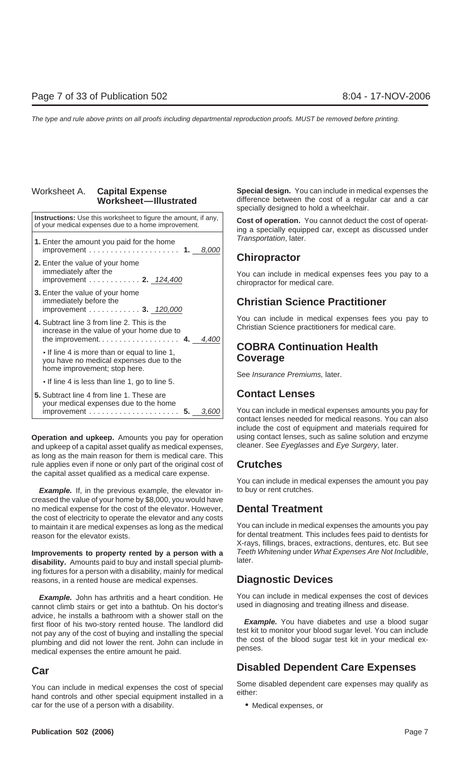| <b>Instructions:</b> Use this worksheet to figure the amount, if any,<br>of your medical expenses due to a home improvement. |
|------------------------------------------------------------------------------------------------------------------------------|
| 1. Enter the amount you paid for the home                                                                                    |
| <b>2.</b> Enter the value of your home<br>immediately after the<br>improvement 2. 124,400                                    |
| <b>3.</b> Enter the value of your home<br>immediately before the<br>improvement 3. 120,000                                   |
| 4. Subtract line 3 from line 2. This is the<br>increase in the value of your home due to<br>4.400                            |
| • If line 4 is more than or equal to line 1,<br>you have no medical expenses due to the<br>home improvement; stop here.      |
| • If line 4 is less than line 1, go to line 5.                                                                               |
| 5. Subtract line 4 from line 1. These are<br>your medical expenses due to the home<br>5.<br>3.60                             |

and upkeep of a capital asset qualify as medical expenses, as long as the main reason for them is medical care. This rule applies even if none or only part of the original cost of **Crutches** the capital asset qualified as a medical care expense.

**Example.** If, in the previous example, the elevator in-<br> creased the value of your home by \$8,000, you would have no medical expense for the cost of the elevator. However, **Dental Treatment** the cost of electricity to operate the elevator and any costs to maintain it are medical expenses as long as the medical You can include in medical expenses the amounts you pay for dental treatment. This includes fees paid to dentists for reason for the elevator exists.

disability. Amounts paid to buy and install special plumbing fixtures for a person with a disability, mainly for medical reasons, in a rented house are medical expenses. **Diagnostic Devices**

cannot climb stairs or get into a bathtub. On his doctor's advice, he installs a bathroom with a shower stall on the<br>first floor of his two-story rented house. The landlord did<br>not pay any of the cost of buying and installing the special<br>plumbing and did not lower the rent. John c

You can include in medical expenses the cost of special<br>hand controls and other special equipment installed in a either: car for the use of a person with a disability. **•** Medical expenses, or

Worksheet A. **Capital Expense Special design.** You can include in medical expenses the **Worksheet—Illustrated** difference between the cost of a regular car and a car specially designed to hold a wheelchair.

> **Cost of operation.** You cannot deduct the cost of operating a specially equipped car, except as discussed under **Transportation, later.**

## **Chiropractor**

You can include in medical expenses fees you pay to a chiropractor for medical care.

## **Christian Science Practitioner**

You can include in medical expenses fees you pay to Christian Science practitioners for medical care.

## **COBRA Continuation Health Coverage**

See *Insurance Premiums*, later.

## **Contact Lenses**

You can include in medical expenses amounts you pay for contact lenses needed for medical reasons. You can also include the cost of equipment and materials required for **Operation and upkeep.** Amounts you pay for operation using contact lenses, such as saline solution and enzyme<br>and upkeep of a capital asset qualify as medical expenses. cleaner. See Eyeglasses and Eye Surgery, later.

You can include in medical expenses the amount you pay

X-rays, fillings, braces, extractions, dentures, etc. But see Improvements to property rented by a person with a Teeth Whitening under What Expenses Are Not Includible, disability Amounts paid to buy and install special plumb. **Install a** later.

**Example.** John has arthritis and a heart condition. He You can include in medical expenses the cost of devices not devices here is not climb stairs or get into a bathtub. On his doctor's used in diagnosing and treating il

## **Car Disabled Dependent Care Expenses**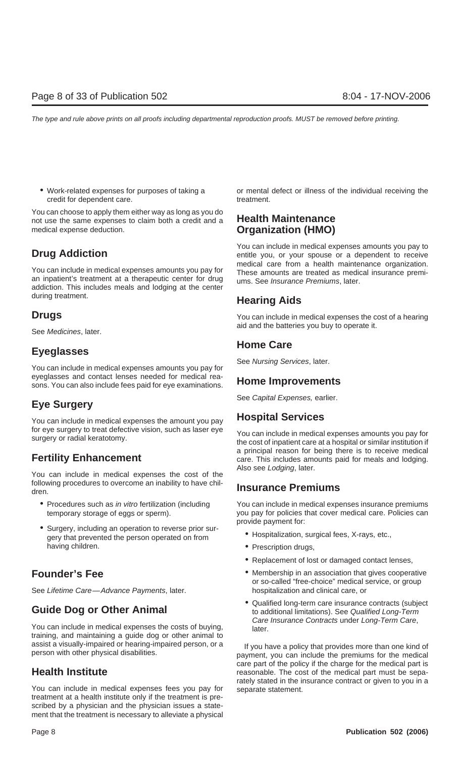credit for dependent care. The contract of the treatment.

You can choose to apply them either way as long as you do not use the same expenses to claim both a credit and a **Health Maintenance** medical expense deduction. **Organization (HMO)**

during treatment. **Hearing Aids**

## **Home Care Eyeglasses**

See Nursing Services, later. You can include in medical expenses amounts you pay for eyeglasses and contact lenses needed for medical rea- **Home Improvements** sons. You can also include fees paid for eye examinations.

**Hospital Services** You can include in medical expenses the amount you pay for eye surgery to treat defective vision, such as laser eye<br>Surgery or radial keratotomy. the cost of inpatient care at a hospital or similar institution if

Also see Lodging, later. You can include in medical expenses the cost of the following procedures to overcome an inability to have chil- **Insurance Premiums** dren.

- 
- provide payment for: Surgery, including an operation to reverse prior sur- Hospitalization, surgical fees, X-rays, etc., gery that prevented the person operated on from having children. • Prescription drugs, having children.

See Lifetime Care—Advance Payments, later. hospitalization and clinical care, or

training, and maintaining a guide dog or other animal to

You can include in medical expenses fees you pay for separate statement. treatment at a health institute only if the treatment is prescribed by a physician and the physician issues a statement that the treatment is necessary to alleviate a physical

• Work-related expenses for purposes of taking a or mental defect or illness of the individual receiving the

You can include in medical expenses amounts you pay to **Drug Addiction** You can include in medical expenses amounts you pay for<br>an inpatient's treatment at a therapeutic center for drug<br>addiction. This includes meals and lodging at the center<br>addiction. This includes meals and lodging at the c

**Drugs** You can include in medical expenses the cost of a hearing aid and the batteries you buy to operate it. See Medicines, later.

See Capital Expenses, earlier. **Eye Surgery**

a principal reason for being there is to receive medical **Fertility Enhancement** care. This includes amounts paid for meals and lodging.

• Procedures such as in vitro fertilization (including You can include in medical expenses insurance premiums temporary storage of eggs or sperm). you pay for policies that cover medical care. Policies can

- 
- 
- Replacement of lost or damaged contact lenses,
- **Founder's Fee Figure 1.1 Constraining the Membership in an association that gives cooperative** or so-called "free-choice" medical service, or group
- Qualified long-term care insurance contracts (subject **Guide Dog or Other Animal** to additional limitations). See Qualified Long-Term Care Insurance Contracts under Long-Term Care,<br>
You can include in medical expenses the costs of buying,<br>
later.

assist a visually-impaired or hearing-impaired person, or a<br>person with other physical disabilities.<br>payment, you can include the premiums for the medical care part of the policy if the charge for the medical part is **Health Institute reasonable.** The cost of the medical part must be separately stated in the insurance contract or given to you in a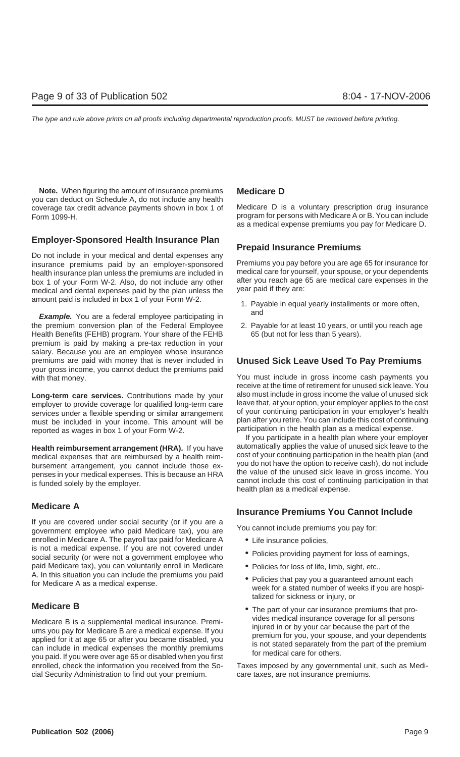**Note.** When figuring the amount of insurance premiums **Medicare D** you can deduct on Schedule A, do not include any health coverage tax credit advance payments shown in box 1 of Medicare D is a voluntary prescription drug insurance

## **Employer-Sponsored Health Insurance Plan Prepaid Insurance Premiums**

Do not include in your medical and dental expenses any insurance premiums paid by an employer-sponsored Premiums you pay before you are age 65 for insurance for health insurance plan unless the premiums are included in medical care for yourself, your spouse, or your dependents<br>hox 1 of your Form W-2, Also, do not include any other after you reach age 65 are medical care expenses i box 1 of your Form W-2. Also, do not include any other after you reach age 6<br>medical and dental expenses paid by the plan unless the year paid if they are: medical and dental expenses paid by the plan unless the amount paid is included in box 1 of your Form W-2. 1. Payable in equal yearly installments or more often,

**Example.** You are a federal employee participating in and the premium conversion plan of the Federal Employee 2. Payable for at least 10 years, or until you reach age Health Benefits (FEHB) program. Your share of the FEHB 65 (but not for less than 5 years). premium is paid by making a pre-tax reduction in your salary. Because you are an employee whose insurance premiums are paid with money that is never included in **Unused Sick Leave Used To Pay Premiums** your gross income, you cannot deduct the premiums paid with that money. The same of the state of the You must include in gross income cash payments you

employer to provide coverage for qualified long-term care leave that, at your option, your employer applies to the cost<br>services under a flexible spending or similar arrangement of your continuing participation in your emp services under a flexible spending or similar arrangement of your continuing participation in your employer's health<br>must be included in your income. This amount will be plan after you retire. You can include this cost of must be included in your income. This amount will be plan after you retire. You can include this cost of contin<br>uparticipation in the health plan as a medical expense. participation in the health plan as a medical expense.<br>If you participate in a health plan where your employer

medical expenses that are reimbursed by a health reim-<br>hursement arrangement, you cannot include those ex-<br>you do not have the option to receive cash), do not include

If you are covered under social security (or if you are a<br>government employee who paid Medicare tax), you are You cannot include premiums you pay for: enrolled in Medicare A. The payroll tax paid for Medicare A  $\bullet$  Life insurance policies, is not a medical expense. If you are not covered under is not a medical expense. If you are not covered under • Policies providing payment for loss of earnings, social security (or were not a government employee who paid Medicare tax), you can voluntarily enroll in Medicare • Policies for loss of life, limb, sight, etc., A. In this situation you can include the premiums you paid • Policies that pay you a guaranteed amount each for Medicare A as a medical expense.

Medicare B is a supplemental medical insurance. Premi-<br>
ums you pay for Medicare B are a medical expense. If you<br>
applied for it at age 65 or after you became disabled, you<br>
can include in medical expenses the monthly prem enrolled, check the information you received from the So- Taxes imposed by any governmental unit, such as Medicial Security Administration to find out your premium. care taxes, are not insurance premiums.

Form 1099-H. program for persons with Medicare A or B. You can include as a medical expense premiums you pay for Medicare D.

- 
- 

receive at the time of retirement for unused sick leave. You **Long-term care services.** Contributions made by your also must include in gross income the value of unused sick<br>employer to provide coverage for qualified long-term care leave that, at your option, your employer applies t

Health reimbursement arrangement (HRA). If you have automatically applies the value of unused sick leave to the bursement arrangement, you cannot include those ex-<br>penses in your medical expenses. This is because an HRA<br>is funded solely by the employer.<br>is funded solely by the employer.<br>health plan as a medical expense.

## **Medicare A Insurance Premiums You Cannot Include**

- 
- 
- 
- talized for sickness or injury, or
- **Medicare B**<br>Medicare B is a supplemental medical insurance premiums that provides medical insurance coverage for all persons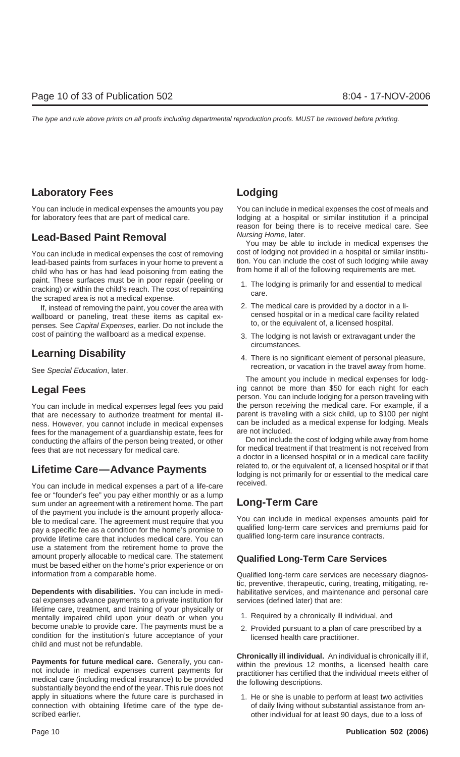## Laboratory Fees **Lodging**

You can include in medical expenses the amounts you pay You can include in medical expenses the cost of meals and for laboratory fees that are part of medical care. lodging at a hospital or similar institution if a principal

## Nursing Home, later. **Lead-Based Paint Removal** You may be able to include in medical expenses the

lead-based paints from surfaces in your home to prevent a tion. You can include the cost of such lodging while avantile available available. The school of the following requirements are met. child who has or has had lead poisoning from eating the paint. These surfaces must be in poor repair (peeling or<br>
cracking) or within the child's reach. The cost of repainting<br>
the scraped area is not a medical expense.<br>
It instead of removing the paint you cover the area with<br>

If, instead of removing the paint, you cover the area with  $\frac{2}{2}$ . The medical care is provided by a doctor in a li-<br>Illhoard or paneling, treat these items as capital ex. Consed hospital or in a medical care facility r wallboard or paneling, treat these items as capital ex-<br>nenses See Capital Expenses earlier Do not include the to, or the equivalent of, a licensed hospital. penses. See Capital Expenses, earlier. Do not include the cost of painting the wallboard as a medical expense. 3. The lodging is not lavish or extravagant under the

ness. However, you cannot include in medical expenses can be included as a medical expense for lodging. Meals fees for the management of a quardianship estate fees for are not included. fees for the management of a guardianship estate, fees for conducting the affairs of the person being treated, or other Do not include the cost of lodging while away from home fees that are not necessary for medical care. for medical treatment if that treatment is not received from

You can include in medical expenses a part of a life-care received. fee or "founder's fee" you pay either monthly or as a lump sum under an agreement with a retirement home. The part **Long-Term Care** of the payment you include is the amount properly alloca-<br>ble to medical care. The agreement must require that you<br>pay a specific fee as a condition for the home's promise to<br>provide lifetime care that includes medical car use a statement from the retirement home to prove the amount properly allocable to medical care. The statement **Qualified Long-Term Care Services** must be based either on the home's prior experience or on

**Dependents with disabilities.** You can include in medi- habilitative services, and maintenance and personal care cal expenses advance payments to a private institution for services (defined later) that are: lifetime care, treatment, and training of your physically or mentally impaired child upon your death or when you 1. Required by a chronically ill individual, and become unable to provide care. The payments must be a<br>condition for the institution's future acceptance of your<br>child and must not be refundable.

**Payments for future medical care.** Generally, you can-<br>not include in medical expenses current payments for<br>medical care (including medical insurance) to be provided<br>substantially beyond the end of the year. This rule doe apply in situations where the future care is purchased in 1. He or she is unable to perform at least two activities connection with obtaining lifetime care of the type de- of daily living without substantial assistance from anscribed earlier. **our contract of the individual for at least 90 days, due to a loss of**  $\alpha$ 

reason for being there is to receive medical care. See

You can include in medical expenses the cost of removing cost of lodging not provided in a hospital or similar institu-<br>lead-based paints from surfaces in your home to prevent a tion. You can include the cost of such lodgi

- 
- 
- circumstances.
- **Learning Disability Learning Disability 1. There is no significant element of personal pleasure,** See Special Education, later. The state of the travel away from home. See Special Education, later.

The amount you include in medical expenses for lodg-**Legal Fees ing cannot be more than \$50 for each night for each** person. You can include lodging for a person traveling with You can include in medical expenses legal fees you paid the person receiving the medical care. For example, if a that are necessary to authorize treatment for mental ill-<br>parent is traveling with a sick child, up to \$100 per night

a doctor in a licensed hospital or in a medical care facility **Lifetime Care—Advance Payments** Figure of the equivalent of, a licensed hospital or if that lodging is not primarily for or essential to the medical care

information from a comparable home. Qualified long-term care services are necessary diagnostic, preventive, therapeutic, curing, treating, mitigating, re-

- 
-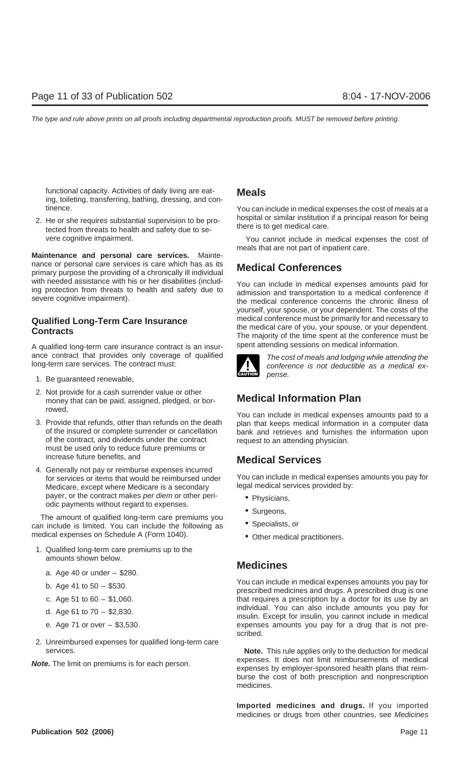functional capacity. Activities of daily living are eat- **Meals** ing, toileting, transferring, bathing, dressing, and continence. You can include in medical expenses the cost of meals at a

**Maintenance and personal care services.** Maintenance or personal care services is care which has as its **Medical Conferences** primary purpose the providing of a chronically ill individual with needed assistance with his or her disabilities (include in medical expenses amounts paid for<br>ing protection from threats to health and safety due to<br>severe cognitive impairment). the medical conference concerns the ch

A qualified long-term care insurance contract is an insurance contract that provides only coverage of qualified<br>long-term care services. The contract must:<br>long-term care services. The contract must:<br><br>long-term care services. The contract must:

- 1. Be guaranteed renewable,
- 2. Not provide for a cash surrender value or other money that can be paid, assigned, pledged, or bor-**Medical Information Plan**
- of the contract, and dividends under the contract request to an attending physician. must be used only to reduce future premiums or increase future benefits, and **Medical Services**
- 4. Generally not pay or reimburse expenses incurred<br>for services or items that would be reimbursed under You can include in medical expenses amounts you pay for<br>Medicare except where Medicare is a secondary legal medical s Medicare, except where Medicare is a secondary payer, or the contract makes *per diem* or other peri-<br>
odic payments without regard to expenses.<br>
The amount of qualified long-term care premiums you<br>
in include is limited. You can include the following as<br> **Specialists**

can include is limited. You can include the following as medical expenses on Schedule A (Form 1040). • Other medical practitioners.

- 1. Qualified long-term care premiums up to the amounts shown below.
	- a. Age 40 or under \$280.
	-
	-
	-
	-
- 2. Unreimbursed expenses for qualified long-term care

2. He or she requires substantial supervision to be pro-<br>tected from threats to health and safety due to se-<br>there is to get medical care.

vere cognitive impairment. You cannot include in medical expenses the cost of meals that are not part of inpatient care.

yourself, your spouse, or your dependent. The costs of the **Qualified Long-Term Care Insurance** medical conference must be primarily for and necessary to<br> **Contracts** the medical care of you, your spouse, or your dependent. the medical care of you, your spouse, or your dependent.<br>The majority of the time spent at the conference must be<br>A qualified long-term care insurance contract is an insur-<br>Spent attending sessions on medical information.



 $pense.$ 

rowed,<br>You can include in medical expenses amounts paid to a<br>3. Provide that refunds, other than refunds on the death and that keens medical information in a computer data Provide that refunds, other than refunds on the death plan that keeps medical information in a computer data p<br>The insured or complete surrender or cancellation bank and retrieves and furnishes the information upon bank and retrieves and furnishes the information upon

- 
- 
- 
- 

## **Medicines**

b. Age 41 to 50 – \$530. **b. Age 41 to 50 – \$530.** prescribed medicines and drugs. A prescribed drug is one c. Age 51 to  $60 - $1,060$ . that requires a prescription by a doctor for its use by an d. Age 61 to 70 – \$2,830. **individual.** You can also include amounts you pay for d. Age 61 to 70 – \$2,830. e. Age 71 or over – \$3,530. expenses amounts you pay for a drug that is not prescribed.

services. **Note.** This rule applies only to the deduction for medical **Note.** The limit on premiums is for each person. expenses. It does not limit reimbursements of medical expenses by employer-sponsored health plans that reimburse the cost of both prescription and nonprescription medicines.

> **Imported medicines and drugs.** If you imported medicines or drugs from other countries, see Medicines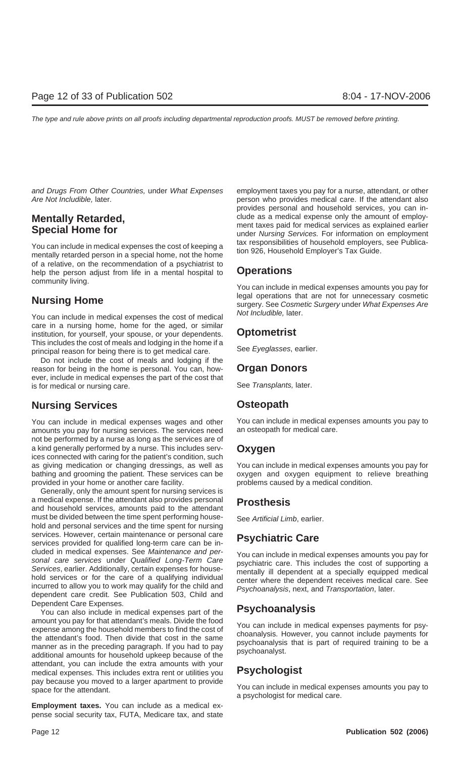and Drugs From Other Countries, under What Expenses employment taxes you pay for a nurse, attendant, or other Are Not Includible, later. etc. etc. person who provides medical care. If the attendant also

You can include in medical expenses the cost of keeping a tax responsibilities of household employers, see Publica-<br>mentally retarded person in a special home, not the home<br>mentally retarded person in a special home, not t of a relative, on the recommendation of a psychiatrist to help the person adjust from life in a mental hospital to **Operations** community living. You can include in medical expenses amounts you pay for

You can include in medical expenses the cost of medical Mot Includible, later. care in a nursing home, home for the aged, or similar institution, for yourself, your spouse, or your dependents. **Optometrist** This includes the cost of meals and lodging in the home if a<br>principal reason for being there is to get medical care. See Eyeglasses, earlier.

Do not include the cost of meals and lodging if the reason for being in the home is personal. You can, how- **Organ Donors** ever, include in medical expenses the part of the cost that is for medical or nursing care. is for medical or nursing care.

## **Nursing Services Osteopath**

You can include in medical expenses wages and other You can include in medical expenses amounts you pay to amounts you pay to amounts you pay to amounts you pay to amounts you pay for nursing services. The services need not be performed by a nurse as long as the services are of a kind generally performed by a nurse. This includes serv- **Oxygen** ices connected with caring for the patient's condition, such as giving medication or changing dressings, as well as You can include in medical expenses amounts you pay for bathing and grooming the patient. These services can be oxygen and oxygen equipment to relieve breathing provided in your home or another care facility. problems caused by a medical condition.

Generally, only the amount spent for nursing services is a medical expense. If the attendant also provides personal **Prosthesis** and household services, amounts paid to the attendant must be divided between the time spent performing house-<br>See Artificial Limb, earlier. hold and personal services and the time spent for nursing services. However, certain maintenance or personal care **Psychiatric Care** services provided for qualified long-term care can be included in medical expenses. See Maintenance and per-<br>sonal care services under Qualified Long-Term Care<br>Services, earlier. Additionally, certain expenses for house-<br>hold services or for the care of a qualifying individual<br> Dependent Care Expenses.

You can also include in medical expenses part of the **Psychoanalysis** amount you pay for that attendant's meals. Divide the food<br>expense among the household members to find the cost of<br>the attendant's food. Then divide that cost in the same<br>manner as in the preceding paragraph. If you had to attendant, you can include the extra amounts with your medical expenses. This includes extra rent or utilities you **Psychologist** pay because you moved to a larger apartment to provide<br>
You can include in medical expenses amounts you pay to<br>
a psychologist for medical care.

**Employment taxes.** You can include as a medical expense social security tax, FUTA, Medicare tax, and state

provides personal and household services, you can in-**Mentally Retarded,** and the clude as a medical expense only the amount of employ-<br> **Cure as a line of the clude of the clude** of the medical services as explained earlier ment taxes paid for medical services as explained earlier **Special Home for** under Nursing Services. For information on employment

**I** legal operations that are not for unnecessary cosmetic **Nursing Home** surgery. See Cosmetic Surgery under What Expenses Are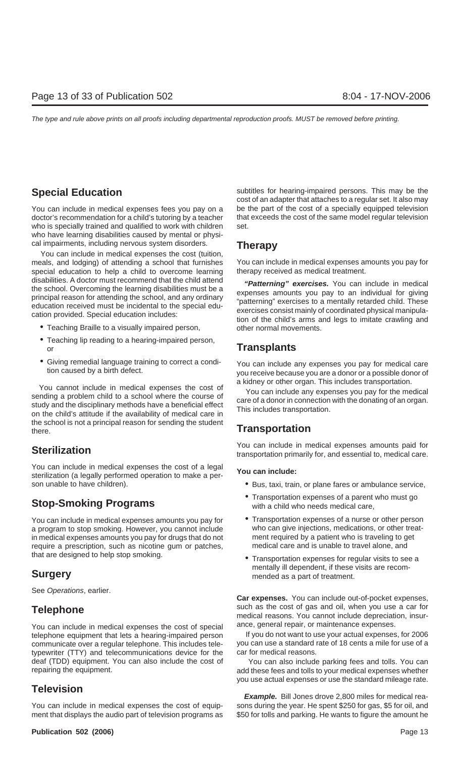doctor's recommendation for a child's tutoring by a teacher that exceeds the cost of the same model regular television who is specially trained and qualified to work with children set. who have learning disabilities caused by mental or physi-

cal impairments, including nervous system disorders.<br>
You can include in medical expenses the cost (tuition,<br>
meals, and lodging) of attending a school that furnishes<br>
You can include in medical expenses amounts you pay fo meals, and lodging) of attending a school that furnishes special education to help a child to overcome learning therapy received as medical treatment.

- 
- Teaching lip reading to a hearing-impaired person, or **Transplants**
- 

You cannot include in medical expenses the cost of<br>sending a problem child to a school where the course of<br>study and the disciplinary methods have a beneficial effect<br>on the child's attitude if the availability of medical the school is not a principal reason for sending the student there. **Transportation** 

You can include in medical expenses the cost of a legal **You can include:** sterilization (a legally performed operation to make a person unable to have children). • Bus, taxi, train, or plane fares or ambulance service,

You can include in medical expenses amounts you pay for • Transportation expenses of a nurse or other person a program to stop smoking. However, you cannot include who can give injections, medications, or other treat-<br>in medical expenses amounts you pay for drugs that do not ment required by a patient who is traveling to get in medical expenses amounts you pay for drugs that do not require a prescription, such as nicotine gum or patches, medical care and is unable to travel alone, and that are designed to help stop smoking.<br>• Transportation expenses for regular visits to see a

See Operations, earlier.

You can include in medical expenses the cost of special ance, general repair, or maintenance expenses. telephone equipment that lets a hearing-impaired person If you do not want to use your actual expenses, for 2006 communicate over a regular telephone. This includes tele- you can use a standard rate of 18 cents a mile for use of a typewriter (TTY) and telecommunications device for the car for medical reasons. deaf (TDD) equipment. You can also include the cost of You can also include parking fees and tolls. You can repairing the equipment.

## **Television**

You can include in medical expenses the cost of equip- sons during the year. He spent \$250 for gas, \$5 for oil, and ment that displays the audio part of television programs as \$50 for tolls and parking. He wants to figure the amount he

## **Publication 502 (2006)** Page 13

**Special Education** subtitles for hearing-impaired persons. This may be the cost of an adapter that attaches to a regular set. It also may You can include in medical expenses fees you pay on a be the part of the cost of a specially equipped television

disabilities. A doctor must recommend that the child attend<br>the school. Overcoming the learning disabilities must be a<br>principal reason for attending the school, and any ordinary<br>education received must be incidental to th From provided. Opecial education includes.<br>• Teaching Braille to a visually impaired person, other normal movements.

• Giving remedial language training to correct a condi-<br>tion caused by a birth defect. you receive because you are a donor or a possible donor of

**Sterilization**<br> **Sterilization Expanses** amounts paid for transportation primarily for, and essential to, medical care.

- 
- Transportation expenses of a parent who must go **Stop-Smoking Programs** with a child who needs medical care,
	-
- **Surgery Surgery mentally ill dependent, if these visits are recom- Surgery mended** as a part of treatment.

**Car expenses.** You can include out-of-pocket expenses, **Telephone Telephone 1998 1999 1999 1999 1999 1999 1999 1999 1999 1999 1999 1999 1999 1999 1999 1999 1999 1999 1999 1999 1999 1999 1999 1999 1999 1999 1999 1999 1** 

add these fees and tolls to your medical expenses whether you use actual expenses or use the standard mileage rate.

**Example.** Bill Jones drove 2,800 miles for medical rea-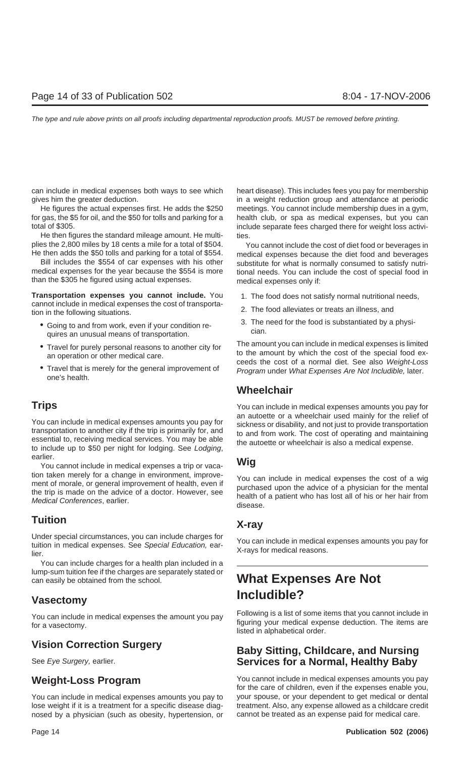for gas, the \$5 for oil, and the \$50 for tolls and parking for a health club, or spa as medical expenses, but you can total of \$305. include separate fees charged there for weight loss activi-

He then figures the standard mileage amount. He multi-<br>ties.

Bill includes the \$554 of car expenses with his other substitute for what is normally consumed to satisfy nutri-<br>medical expenses for the year because the \$554 is more tional needs. You can include the cost of special food

**Transportation expenses you cannot include.** You 1. The food does not satisfy normal nutritional needs, cannot include in medical expenses the cost of transporta- 2. The food alleviates or treats an illness, and tion in the following situations.

- 
- 
- one's health.

You can include in medical expenses amounts you pay for<br>transportation to another city if the trip is primarily for, and<br>essential to, receiving medical services. You may be able<br>to include up to \$50 per night for lodging.

earlier. **Wig** You cannot include in medical expenses a trip or vaca-

## **Tuition X-ray**

Under special circumstances, you can include charges for<br>tuition in medical expenses. See Special Education, ear-<br>lier. lier.

You can include charges for a health plan included in a lump-sum tuition fee if the charges are separately stated or can easily be obtained from the school. **What Expenses Are Not** 

You can include in medical expenses amounts you pay to your spouse, or your dependent to get medical or dental lose weight if it is a treatment for a specific disease diag- treatment. Also, any expense allowed as a childcare credit nosed by a physician (such as obesity, hypertension, or cannot be treated as an expense paid for medical care.

can include in medical expenses both ways to see which heart disease). This includes fees you pay for membership gives him the greater deduction.  $\qquad \qquad \qquad$  in a weight reduction group and attendance at periodic He figures the actual expenses first. He adds the \$250 meetings. You cannot include membership dues in a gym,

plies the 2,800 miles by 18 cents a mile for a total of \$504. You cannot include the cost of diet food or beverages in<br>He then adds the \$50 tolls and parking for a total of \$554. medical expenses because the diet food and medical expenses for the year because the \$554 is more tional needs. You can include the cost of special food in than the \$305 he figured using actual expenses. The medical expenses only if:

- 
- 
- Going to and from work, even if your condition re-<br>quires an unusual means of transportation.<br>cian. cian.

• Travel for purely personal reasons to another city for<br>an operation or other medical care.<br>Travel that is merely for the general improvement of<br>Travel that is merely for the general improvement of<br>Program under What Expe

## **Wheelchair**

**Trips** Trips **Trips** Trips **Trips** *You can include in medical expenses amounts you pay for* 

tion taken merely for a change in environment, improve-<br>ment of morale, or general improvement of health, even if<br>the trip is made on the advice of a doctor. However, see<br>Medical Conferences, earlier.<br>Medical Conferences,

# **Includible? Vasectomy**

You can include in medical expenses the amount you pay<br>for a vasectomy.<br>listed in alphabetical order.<br>listed in alphabetical order.

## **Vision Correction Surgery Baby Sitting, Childcare, and Nursing** See Eye Surgery, earlier. **Services for a Normal, Healthy Baby**

**Weight-Loss Program** You cannot include in medical expenses amounts you pay for the care of children, even if the expenses enable you,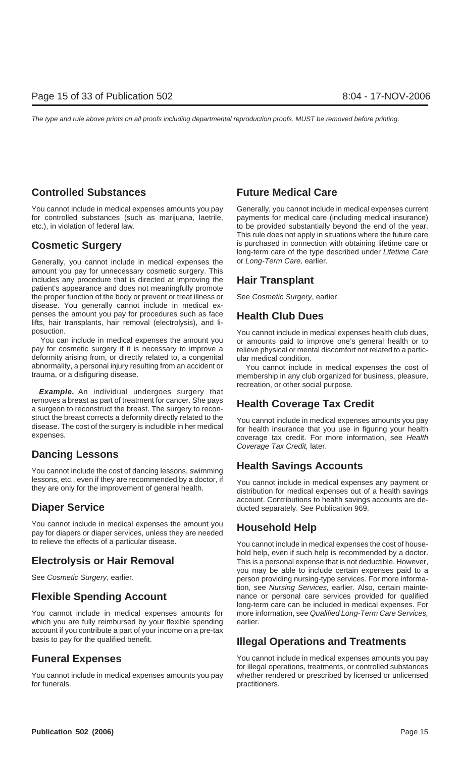## **Controlled Substances The Controlled Care**

You cannot include in medical expenses amounts you pay Generally, you cannot include in medical expenses current for controlled substances (such as marijuana, laetrile, payments for medical care (including medical insurance) etc.), in violation of federal law. to be provided substantially beyond the end of the year.

Generally, you cannot include in medical expenses the or Long-Term Care, earlier. amount you pay for unnecessary cosmetic surgery. This includes any procedure that is directed at improving the **Hair Transplant** patient's appearance and does not meaningfully promote the proper function of the body or prevent or treat illness or See Cosmetic Surgery, earlier. disease. You generally cannot include in medical expenses the amount you pay for procedures such as face **Health Club Dues** lifts, hair transplants, hair removal (electrolysis), and li-

pay for cosmetic surgery if it is necessary to improve a relieve physical or mental discomfort not related to a particdeformity arising from, or directly related to, a congenital ular medical condition.<br>abnormality, a personal injury resulting from an accident or You cannot include abnormality, a personal injury resulting from an accident or  $\begin{array}{c} \gamma_{\text{OU}} \text{ cannot include in medical expenses the cost of } \\ \text{trauma, or a distinguishing disease.} \end{array}$ 

**Example.** An individual undergoes surgery that removes a breast as part of treatment for cancer. She pays **Health Coverage Tax Credit** a surgeon to reconstruct the breast. The surgery to reconstruct the breast corrects a deformity directly related to the<br>disease. The cost of the surgery is includible in her medical<br>expenses.<br>expenses.<br>coverage tax credit. For more information, see Health

## **Dancing Lessons**

**Health Savings Accounts** You cannot include the cost of dancing lessons, swimming lessons, etc., even if they are recommended by a doctor, if You cannot include in medical expenses any payment or they are only for the improvement of general health. distribution for medical expenses out of a health savin

You cannot include in medical expenses the amount you **Household Help** pay for diapers or diaper services, unless they are needed to relieve the effects of a particular disease. You cannot include in medical expenses the cost of house-

You cannot include in medical expenses amounts for more information, see Qualified Long-Term Care Services, which you are fully reimbursed by your flexible spending earlier. account if you contribute a part of your income on a pre-tax

You cannot include in medical expenses amounts you pay whether rendered or prescribed by licensed or unlicensed for funerals. **provides** the contract of the contract of the contract of the contract of the contract of the contract of the contract of the contract of the contract of the contract of the contract of the contract of the c

This rule does not apply in situations where the future care **Cosmetic Surgery** is purchased in connection with obtaining lifetime care or long-term care of the type described under Lifetime Care

posuction.<br>You can include in medical expenses the amount you<br>or amounts paid to improve one's general health or to or amounts paid to improve one's general health or to

membership in any club organized for business, pleasure, recreation, or other social purpose.

coverage tax credit. For more information, see Health Coverage Tax Credit, later.

account. Contributions to health savings accounts are de-**Diaper Service ducted separately.** See Publication 969.

hold help, even if such help is recommended by a doctor. **Electrolysis or Hair Removal** This is a personal expense that is not deductible. However, you may be able to include certain expenses paid to a See Cosmetic Surgery, earlier. **person providing nursing-type services**. For more information, see Nursing Services, earlier. Also, certain mainte-**Flexible Spending Account** nance or personal care services provided for qualified long-term care can be included in medical expenses. For

## basis to pay for the qualified benefit. **Illegal Operations and Treatments**

**Funeral Expenses** The State of Tourism of Tourism of Tourism of Tourism and Tourism of Tourism of Tourism of Tourism and Tourism of Tourism of Tourism of Tourism of Tourism of Tourism of Tourism of Tourism of Tourism of T for illegal operations, treatments, or controlled substances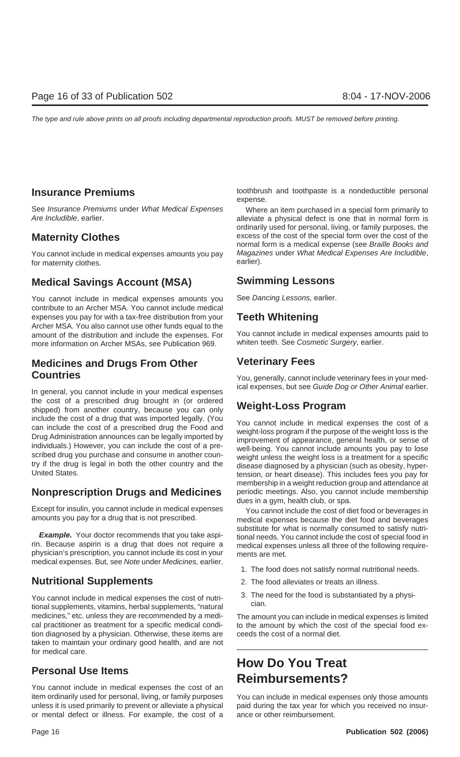See Insurance Premiums under What Medical Expenses Where an item purchased in a special form primarily to

for maternity clothes.

## **Medical Savings Account (MSA) Swimming Lessons**

You cannot include in medical expenses amounts you See Dancing Lessons, earlier. contribute to an Archer MSA. You cannot include medical expenses you pay for with a tax-free distribution from your **Teeth Whitening** Archer MSA. You also cannot use other funds equal to the amount of the distribution and include the expenses. For You cannot include in medical expenses amounts paid to<br>more information on Archer MSAs, see Publication 969 whiten teeth. See Cosmetic Surgery, earlier. more information on Archer MSAs, see Publication 969.

## **Medicines and Drugs From Other Veterinary Fees Countries** Countries **Countries** The Section of the Section of You, generally, cannot include veterinary fees in your med-

the cost of a prescribed drug brought in (or ordered shipped) from another country, because you can only **Weight-Loss Program** include the cost of a drug that was imported legally. (You<br>can include in medical expenses the cost of a<br>can include the cost of a prescribed drug the Food and<br>Drug Administration announces can be legally imported by<br>indiv

Except for insulin, you cannot include in medical expenses You cannot include the cost of diet food or beverages in amounts you pay for a drug that is not prescribed. medical expenses because the diet food and beverages

physician's prescription, you cannot include its cost in your ments are met. medical expenses. But, see Note under Medicines, earlier.

You cannot include in medical expenses the cost of nutri-<br>tional supplements, vitamins, herbal supplements, "natural cian. medicines," etc. unless they are recommended by a medi- The amount you can include in medical expenses is limited cal practitioner as treatment for a specific medical condi- to the amount by which the cost of the special food extion diagnosed by a physician. Otherwise, these items are ceeds the cost of a normal diet. taken to maintain your ordinary good health, and are not for medical care.

You cannot include in medical expenses the cost of an item ordinarily used for personal, living, or family purposes You can include in medical expenses only those amounts unless it is used primarily to prevent or alleviate a physical paid during the tax year for which you received no insuror mental defect or illness. For example, the cost of a ance or other reimbursement.

**Insurance Premiums Insurance Premiums Insurance Premiums Insurance Premiums Insurance Premiums Insurance Premiums Insurance Premiums Insurance Premiums Insurance Premiums Insurance Premiums Insurance P** expense.

Are Includible, earlier. Are includible, earlier. And the state a physical defect is one that in normal form is ordinarily used for personal, living, or family purposes, the **Maternity Clothes** excess of the cost of the special form over the cost of the normal form is a medical expense (see Braille Books and You cannot include in medical expenses amounts you pay Magazines under What Medical Expenses Are Includible,<br>
for maternity clothes

In general, you cannot include in your medical expenses ical expenses, but see Guide Dog or Other Animal earlier.

membership in a weight reduction group and attendance at **Nonprescription Drugs and Medicines** periodic meetings. Also, you cannot include membership dues in a gym, health club, or spa.

substitute for what is normally consumed to satisfy nutri-<br>tional needs. You cannot include the cost of special food in<br>rin. Because aspirin is a drug that does not require a medical expenses upless all three of the follow medical expenses unless all three of the following require-

- 1. The food does not satisfy normal nutritional needs.
- **Nutritional Supplements** 2. The food alleviates or treats an illness.
	-

# **Personal Use Items**<br> **Reimbursements?**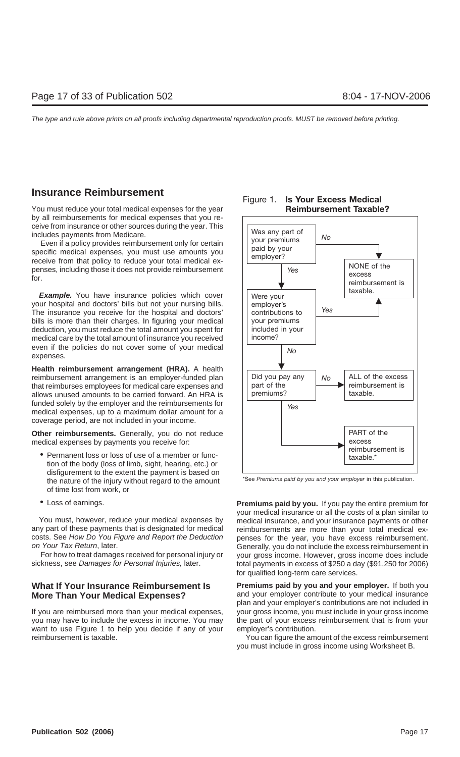## **Insurance Reimbursement**

You must reduce your total medical expenses for the year by all reimbursements for medical expenses that you receive from insurance or other sources during the year. This includes payments from Medicare.

Even if a policy provides reimbursement only for certain specific medical expenses, you must use amounts you receive from that policy to reduce your total medical expenses, including those it does not provide reimbursement for.

**Example.** You have insurance policies which cover your hospital and doctors' bills but not your nursing bills. The insurance you receive for the hospital and doctors' bills is more than their charges. In figuring your medical deduction, you must reduce the total amount you spent for medical care by the total amount of insurance you received even if the policies do not cover some of your medical expenses.

**Health reimbursement arrangement (HRA).** A health reimbursement arrangement is an employer-funded plan that reimburses employees for medical care expenses and allows unused amounts to be carried forward. An HRA is funded solely by the employer and the reimbursements for medical expenses, up to a maximum dollar amount for a coverage period, are not included in your income.

**Other reimbursements.** Generally, you do not reduce medical expenses by payments you receive for:

- Permanent loss or loss of use of a member or function of the body (loss of limb, sight, hearing, etc.) or disfigurement to the extent the payment is based on the nature of the injury without regard to the amount of time lost from work, or
- 

You must, however, reduce your medical expenses by medical insurance, and your insurance payments or other<br>any part of these payments that is designated for medical reimbursements are more than your total medical exany part of these payments that is designated for medical reimbursements are more than your total medical ex-<br>costs. See How Do You Figure and Report the Deduction penses for the year, you have excess reimbursement. costs. See How Do You Figure and Report the Deduction penses for the year, you have excess reimbursement.<br>On Your Tax Return, later. Seperally, you do not include the excess reimbursement in

## **More Than Your Medical Expenses?**

If you are reimbursed more than your medical expenses, your gross income, you must include in your gross income you may have to include the excess in income. You may the part of your excess reimbursement that is from your want to use Figure 1 to help you decide if any of your employer's contribution. reimbursement is taxable. You can figure the amount of the excess reimbursement





\*See *Premiums paid by you and your employer* in this publication.

• Loss of earnings. **Premiums paid by you.** If you pay the entire premium for your medical insurance or all the costs of a plan similar to Your Tax Return, later.<br>For how to treat damages received for personal injury or cour gross income. However, gross income does include For how to treat damages received for personal injury or your gross income. However, gross income does include<br>sickness, see Damages for Personal Injuries, later. total payments in excess of \$250 a day (\$91.250 for 2006) total payments in excess of \$250 a day (\$91,250 for 2006) for qualified long-term care services.

**What If Your Insurance Reimbursement Is Premiums paid by you and your employer.** If both you **More Than Your Medical Expenses?** and your employer contribute to your medical insurance plan and your employer's contributions are not included in

you must include in gross income using Worksheet B.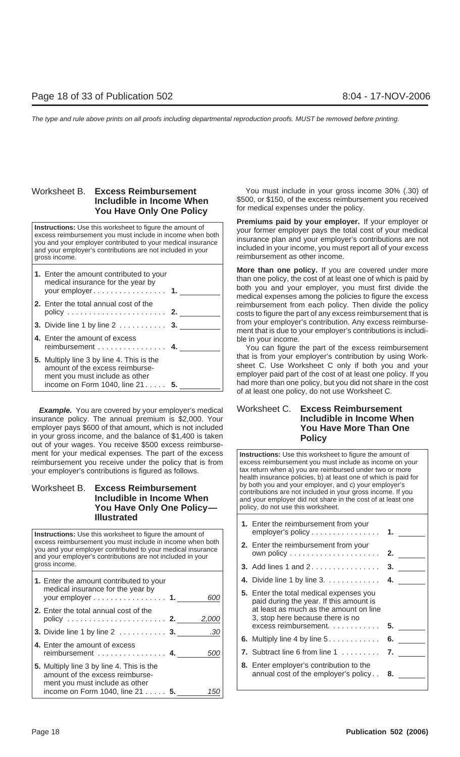# for medical expenses under the policy. **You Have Only One Policy**

gross income. The contract of the contract of the contract of the reimbursement as other income.

| 1. Enter the amount contributed to your<br>medical insurance for the year by<br>your employer 1.                      |  |
|-----------------------------------------------------------------------------------------------------------------------|--|
| 2. Enter the total annual cost of the                                                                                 |  |
| 3. Divide line 1 by line $2 \ldots \ldots \ldots$ 3.                                                                  |  |
| 4. Enter the amount of excess<br>reimbursement 4.                                                                     |  |
| <b>5.</b> Multiply line 3 by line 4. This is the<br>amount of the excess reimburse-<br>ment you must include as other |  |
| income on Form 1040, line $21 \ldots$ 5.                                                                              |  |

insurance policy. The annual premium is \$2,000. Your employer pays \$600 of that amount, which is not included **You Have More Than One** in your gross income, and the balance of \$1,400 is taken **Policy**<br>out of your wages. You receive \$500 excess reimbursement for your medical expenses. The part of the excess **Instructions:** Use this worksheet to figure the amount of reimbursement you receive under the policy that is from excess reimbursement you must include as income on your<br>vour employer's contributions is figured as follows. your employer's contributions is figured as follows.

## **You Have Only One Policy** — policy, do not use this worksheet. **Illustrated**

Excess remodisement you must include in income when both  $\begin{bmatrix} 2. \\ 2. \end{bmatrix}$  Enter the reimbursement from your you and your employer contributed to your medical insurance and your employer's contributions are not includ

| 1. Enter the amount contributed to your<br>medical insurance for the year by<br>your employer $\dots\dots\dots\dots\dots\dots$ 1.                          | 600   |
|------------------------------------------------------------------------------------------------------------------------------------------------------------|-------|
| 2. Enter the total annual cost of the                                                                                                                      | 2,000 |
| <b>3.</b> Divide line 1 by line 2 <b>3.</b>                                                                                                                | .30   |
| 4. Enter the amount of excess<br>reimbursement  4.                                                                                                         | ו ורי |
| 5. Multiply line 3 by line 4. This is the<br>amount of the excess reimburse-<br>ment you must include as other<br>income on Form 1040, line $21$ <b>5.</b> |       |
|                                                                                                                                                            |       |

Worksheet B. **Excess Reimbursement** You must include in your gross income 30% (.30) of **Includible in Income When** \$500, or \$150, of the excess reimbursement you received

**Instructions:** Use this worksheet to figure the amount of excess reimbursement you must include in income when both your former employer pays the total cost of your medical you and your employer contributed to your medica

More than one policy. If you are covered under more than one policy, the cost of at least one of which is paid by both you and your employer, you must first divide the medical expenses among the policies to figure the excess reimbursement from each policy. Then divide the policy. costs to figure the part of any excess reimbursement that is from your employer's contribution. Any excess reimbursement that is due to your employer's contributions is includible in your income.

You can figure the part of the excess reimbursement that is from your employer's contribution by using Work-<br>sheet C. Use Worksheet C only if both you and your employer paid part of the cost of at least one policy. If you had more than one policy, but you did not share in the cost of at least one policy, do not use Worksheet C.

# **Example.** You are covered by your employer's medical Worksheet C. **Excess Reimbursement**

health insurance policies, b) at least one of which is paid for Worksheet B. Excess Reimbursement<br>Includible in Income When and your employer did not share in the cost of at least one.<br>Includible in Income When and your employer did not share in the cost of at least one

**1.** Enter the reimbursement from your employer's policy ................ **1. Instructions:** Use this worksheet to figure the amount of gross income. **3.** Add lines 1 and 2 ................ **3. 4.** Divide line 1 by line 3. ................. **4. 5.** Enter the total medical expenses you paid during the year. If this amount is at least as much as the amount on line 3, stop here because there is no excess reimbursement. ........... **5. 6.** Multiply line 4 by line 5 ............ **6. 7.** Subtract line 6 from line 1 ............ **7. 8.** Enter employer's contribution to the annual cost of the employer's policy . . **8.**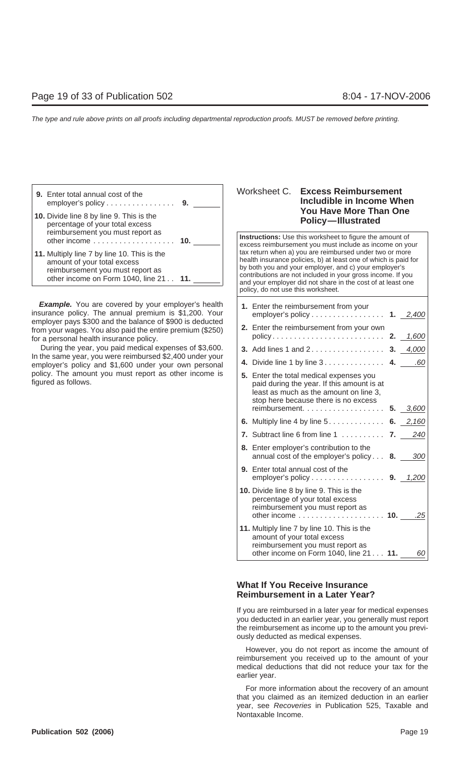| 9. Enter total annual cost of the<br>employer's policy 9.                                                                                                 |  | Worksheet C. Excess Reimbursement<br>Includible in Income Whe                                                                                                                                                                                 |  |
|-----------------------------------------------------------------------------------------------------------------------------------------------------------|--|-----------------------------------------------------------------------------------------------------------------------------------------------------------------------------------------------------------------------------------------------|--|
| <b>10.</b> Divide line 8 by line 9. This is the<br>percentage of your total excess                                                                        |  | <b>You Have More Than One</b><br><b>Policy-Illustrated</b>                                                                                                                                                                                    |  |
| reimbursement you must report as<br>other income $\dots\dots\dots\dots\dots\dots\dots$ 10.                                                                |  | <b>Instructions:</b> Use this worksheet to figure the amount of<br>excess reimbursement you must include as income on you                                                                                                                     |  |
| 11. Multiply line 7 by line 10. This is the<br>amount of your total excess<br>reimbursement you must report as<br>other income on Form 1040. line 21. 11. |  | tax return when a) you are reimbursed under two or more<br>health insurance policies, b) at least one of which is paid<br>by both you and your employer, and c) your employer's<br>contributions are not included in your gross income. If yo |  |

**Example.** You are covered by your employer's health insurance policy. The annual premium is \$1,200. Your employer pays \$300 and the balance of \$900 is deducted<br>from your wages. You also paid the entire premium (\$250)<br>for a personal health insurance policy.

During the year, you paid medical expenses of \$3,600.<br>In the same year, you were reimbursed \$2,400 under your employer's policy and \$1,600 under your own personal policy. The amount you must report as other income is figured as follows.

## Worksheet C. **Excess Reimbursement Includible in Income When**<br>You Have More Than One

**Instructions:** Use this worksheet to figure the amount of excess reimbursement you must include as income on your tax return when a) you are reimbursed under two or more<br>health insurance policies, b) at least one of which is paid for by both you and your employer, and c) your employer's<br>contributions are not included in your gross income. If you<br>and your employer did not share in the cost of at least one policy, do not use this worksheet.

| 1. Enter the reimbursement from your<br>employer's policy 1. 2,400                                                                                                                                  |    |
|-----------------------------------------------------------------------------------------------------------------------------------------------------------------------------------------------------|----|
| 2. Enter the reimbursement from your own                                                                                                                                                            |    |
|                                                                                                                                                                                                     |    |
| 3. Add lines 1 and 2. 3. 4,000                                                                                                                                                                      |    |
| 4. Divide line 1 by line 3. 4. 60                                                                                                                                                                   |    |
| 5. Enter the total medical expenses you<br>paid during the year. If this amount is at<br>least as much as the amount on line 3,<br>stop here because there is no excess<br>reimbursement 5. $3,600$ |    |
| <b>6.</b> Multiply line 4 by line 5 <b>6.</b> 2,160                                                                                                                                                 |    |
| 7. Subtract line 6 from line 1 7. 240                                                                                                                                                               |    |
| 8. Enter employer's contribution to the<br>annual cost of the employer's policy 8. 300                                                                                                              |    |
| 9. Enter total annual cost of the<br>employer's policy 9. 1,200                                                                                                                                     |    |
| 10. Divide line 8 by line 9. This is the<br>percentage of your total excess<br>reimbursement you must report as<br>other income 10. 25                                                              |    |
| 11. Multiply line 7 by line 10. This is the<br>amount of your total excess<br>reimbursement you must report as                                                                                      |    |
| other income on Form 1040, line 21 11.                                                                                                                                                              | 60 |

## **What If You Receive Insurance Reimbursement in a Later Year?**

If you are reimbursed in a later year for medical expenses you deducted in an earlier year, you generally must report the reimbursement as income up to the amount you previously deducted as medical expenses.

However, you do not report as income the amount of reimbursement you received up to the amount of your medical deductions that did not reduce your tax for the earlier year.

For more information about the recovery of an amount that you claimed as an itemized deduction in an earlier year, see Recoveries in Publication 525, Taxable and Nontaxable Income.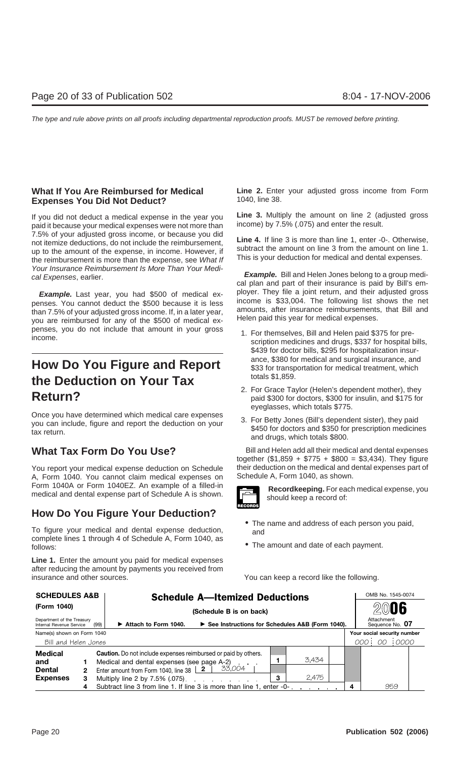## **Expenses You Did Not Deduct?**

paid it because your medical expenses were not more than 7.5% of your adjusted gross income, or because you did<br>not itemize deductions, do not include the reimbursement,<br>up to the amount of the expense, in income. However, if<br>the reimbursement is more than the expense, see What Your Insurance Reimbursement Is More Than Your Medi-

**Example.** Last year, you had \$500 of medical ex-<br>ployer. They file a joint return, and their adjusted gross<br>penses. You cannot deduct the \$500 because it is less<br>than 7.5% of your adjusted gross income. If, in a later yea penses, you do not include that amount in your gross 1. For themselves, Bill and Helen paid \$375 for pre-<br>scription medicines and drugs, \$337 for hospital bills,

## the Deduction on Your Tax totals \$1,859. 2. For Grace Taylor (Helen's dependent mother), they **Return?** paid \$300 for doctors, \$300 for insulin, and \$175 for

Once you have determined which medical care expenses<br>you can include, figure and report the deduction on your  $\begin{array}{r} 3. \\ 450$  for doctors and \$350 for prescription medicines<br>tax return.

You report your medical expense deduction on Schedule A, Form 1040. You cannot claim medical expenses on Schedule A, Form 1040, as shown. Form 1040A or Form 1040EZ. An example of a filled-in **Recordkeeping.** For each medical expense, you medical and dental expense part of Schedule A is shown. Should keep a record of:

## **How Do You Figure Your Deduction?**

complete lines 1 through 4 of Schedule A, Form 1040, as • The amount and date of each payment.<br>follows:

**Line 1.** Enter the amount you paid for medical expenses after reducing the amount by payments you received from insurance and other sources. You can keep a record like the following.

**What If You Are Reimbursed for Medical Line 2.** Enter your adjusted gross income from Form<br>**Expenses You Did Not Deduct?** 1040, line 38.

If you did not deduct a medical expense in the year you **Line 3.** Multiply the amount on line 2 (adjusted gross

**Example.** Bill and Helen Jones belong to a group medi-<br>cal Expenses, earlier. cal plan and part of their insurance is paid by Bill's em-

- \$439 for doctor bills, \$295 for hospitalization insur-**How Do You Figure and Report** ance, \$380 for medical and surgical insurance, and \$33 for transportation for medical treatment, which
	- eyeglasses, which totals \$775.
	-

**What Tax Form Do You Use?** Bill and Helen add all their medical and dental expenses together  $($1,859 + $775 + $800 = $3,434)$ . They figure their deduction on the medical and dental expenses part of



- The name and address of each person you paid, To figure your medical and dental expense deduction, and
	-

| <b>SCHEDULES A&amp;B</b>                               |              | <b>Schedule A—Itemized Deductions</b>                                                                     | OMB No. 1545-0074             |
|--------------------------------------------------------|--------------|-----------------------------------------------------------------------------------------------------------|-------------------------------|
| (Form 1040)                                            |              | (Schedule B is on back)                                                                                   | 2006                          |
| Department of the Treasury<br>Internal Revenue Service |              | See Instructions for Schedules A&B (Form 1040).<br>Attach to Form 1040.<br>(99)                           | Attachment<br>Sequence No. 07 |
| Name(s) shown on Form 1040                             |              |                                                                                                           | Your social security number   |
| Bill and Helen Jones                                   |              |                                                                                                           | 000 00 0000                   |
| <b>Medical</b>                                         |              | <b>Caution.</b> Do not include expenses reimbursed or paid by others.                                     |                               |
| and                                                    |              | 3.434<br>Medical and dental expenses (see page A-2)<br>33,004<br>Enter amount from Form 1040, line 38 $2$ |                               |
| <b>Dental</b>                                          | $\mathbf{2}$ |                                                                                                           |                               |
| <b>Expenses</b>                                        | 3            | 2,475<br>З<br>Multiply line 2 by 7.5% (.075).                                                             |                               |
|                                                        |              | Subtract line 3 from line 1. If line 3 is more than line 1, enter -0-<br>4                                | 959                           |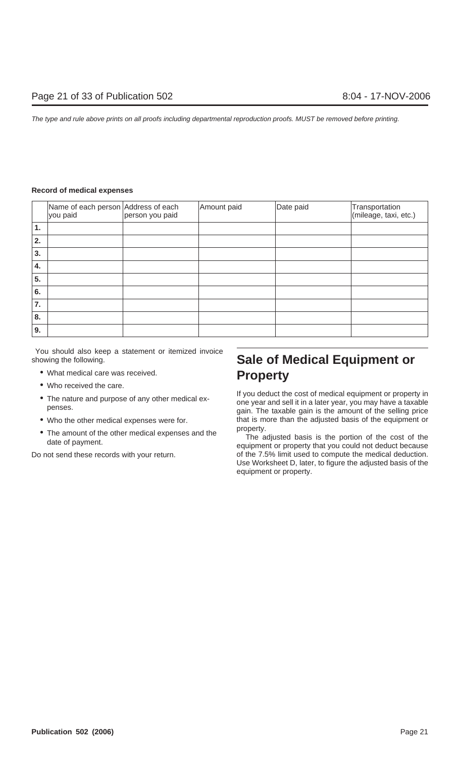## **Record of medical expenses**

|    | Name of each person Address of each<br>you paid | person you paid | Amount paid | Date paid | Transportation<br>(mileage, taxi, etc.) |
|----|-------------------------------------------------|-----------------|-------------|-----------|-----------------------------------------|
| 1. |                                                 |                 |             |           |                                         |
| 2. |                                                 |                 |             |           |                                         |
| 3. |                                                 |                 |             |           |                                         |
| 4. |                                                 |                 |             |           |                                         |
| 5. |                                                 |                 |             |           |                                         |
| 6. |                                                 |                 |             |           |                                         |
| 7. |                                                 |                 |             |           |                                         |
| 8. |                                                 |                 |             |           |                                         |
| 9. |                                                 |                 |             |           |                                         |

You should also keep a statement or itemized invoice

- 
- 
- 
- 
- 

## showing the following. **Sale of Medical Equipment or** • What medical care was received.<br>• Who received the care.<br>• The set we say that we say it also as it is the cost of medical equipment or property in

• The nature and purpose of any other medical ex-<br>penses.<br>gain. The taxable gain is the amount of the selling price • Who the other medical expenses were for. that is more than the adjusted basis of the equipment or

• The amount of the other medical expenses and the The adjusted basis is the portion of the cost of the date of payment. Do not send these records with your return. of the 7.5% limit used to compute the medical deduction. Use Worksheet D, later, to figure the adjusted basis of the equipment or property.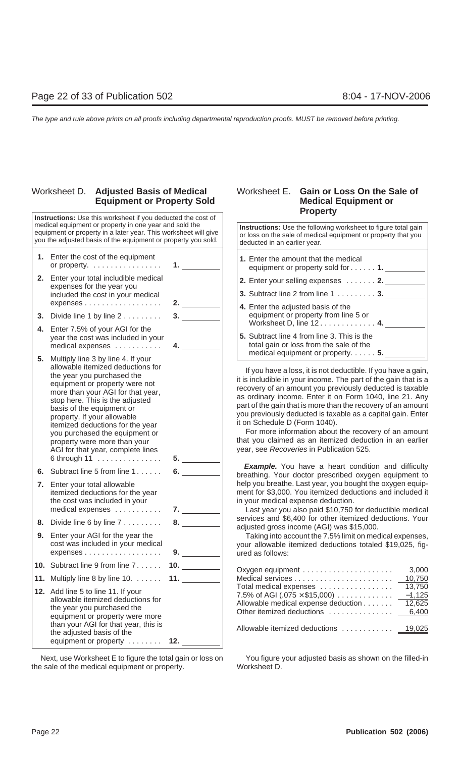## Worksheet D. **Adjusted Basis of Medical** Worksheet E. **Gain or Loss On the Sale of**

| Instructions: Use this worksheet if you deducted the cost of                                                                                                                                                                                                                                                                                                                                                                              |                     | <b>Property</b>                                                                                                                                                                                                                                                                                                                                                                                                                                                                                                                                                                                                             |
|-------------------------------------------------------------------------------------------------------------------------------------------------------------------------------------------------------------------------------------------------------------------------------------------------------------------------------------------------------------------------------------------------------------------------------------------|---------------------|-----------------------------------------------------------------------------------------------------------------------------------------------------------------------------------------------------------------------------------------------------------------------------------------------------------------------------------------------------------------------------------------------------------------------------------------------------------------------------------------------------------------------------------------------------------------------------------------------------------------------------|
| medical equipment or property in one year and sold the<br>equipment or property in a later year. This worksheet will give<br>you the adjusted basis of the equipment or property you sold.                                                                                                                                                                                                                                                |                     | Instructions: Use the following worksheet to figure total gain<br>or loss on the sale of medical equipment or property that you<br>deducted in an earlier year.                                                                                                                                                                                                                                                                                                                                                                                                                                                             |
| 1. Enter the cost of the equipment<br>or property.                                                                                                                                                                                                                                                                                                                                                                                        | 1.                  | 1. Enter the amount that the medical<br>equipment or property sold for 1.                                                                                                                                                                                                                                                                                                                                                                                                                                                                                                                                                   |
| 2. Enter your total includible medical<br>expenses for the year you<br>included the cost in your medical<br>expenses                                                                                                                                                                                                                                                                                                                      | 2.                  | 2. Enter your selling expenses 2.<br>3. Subtract line 2 from line $1, \ldots, 3$ .<br>4. Enter the adjusted basis of the                                                                                                                                                                                                                                                                                                                                                                                                                                                                                                    |
| 3. Divide line 1 by line $2 \ldots \ldots$<br>4. Enter 7.5% of your AGI for the<br>year the cost was included in your<br>medical expenses                                                                                                                                                                                                                                                                                                 | 3.<br>4.            | equipment or property from line 5 or<br>Worksheet D, line $12, \ldots, \ldots, 4$ .<br>5. Subtract line 4 from line 3. This is the<br>total gain or loss from the sale of the                                                                                                                                                                                                                                                                                                                                                                                                                                               |
| 5. Multiply line 3 by line 4. If your<br>allowable itemized deductions for<br>the year you purchased the<br>equipment or property were not<br>more than your AGI for that year,<br>stop here. This is the adjusted<br>basis of the equipment or<br>property. If your allowable<br>itemized deductions for the year<br>you purchased the equipment or<br>property were more than your<br>AGI for that year, complete lines<br>6 through 11 | 5.                  | medical equipment or property. 5.<br>If you have a loss, it is not deductible. If you have a gain,<br>it is includible in your income. The part of the gain that is a<br>recovery of an amount you previously deducted is taxable<br>as ordinary income. Enter it on Form 1040, line 21. Any<br>part of the gain that is more than the recovery of an amount<br>you previously deducted is taxable as a capital gain. Enter<br>it on Schedule D (Form 1040).<br>For more information about the recovery of an amount<br>that you claimed as an itemized deduction in an earlier<br>year, see Recoveries in Publication 525. |
| 6. Subtract line 5 from line $1, \ldots$ .                                                                                                                                                                                                                                                                                                                                                                                                | 6.                  | <b>Example.</b> You have a heart condition and difficulty<br>breathing. Your doctor prescribed oxygen equipment to                                                                                                                                                                                                                                                                                                                                                                                                                                                                                                          |
| 7. Enter your total allowable<br>itemized deductions for the year<br>the cost was included in your<br>medical expenses                                                                                                                                                                                                                                                                                                                    | 7.                  | help you breathe. Last year, you bought the oxygen equip-<br>ment for \$3,000. You itemized deductions and included it<br>in your medical expense deduction.<br>Last year you also paid \$10,750 for deductible medical                                                                                                                                                                                                                                                                                                                                                                                                     |
| 8. Divide line 6 by line $7 \ldots \ldots$                                                                                                                                                                                                                                                                                                                                                                                                |                     | services and \$6,400 for other itemized deductions. Your<br>adjusted gross income (AGI) was \$15,000.                                                                                                                                                                                                                                                                                                                                                                                                                                                                                                                       |
| 9. Enter your AGI for the year the<br>cost was included in your medical<br>$expenses \ldots \ldots \ldots \ldots \ldots$                                                                                                                                                                                                                                                                                                                  | 9.                  | Taking into account the 7.5% limit on medical expenses,<br>your allowable itemized deductions totaled \$19,025, fig-<br>ured as follows:                                                                                                                                                                                                                                                                                                                                                                                                                                                                                    |
| 10. Subtract line 9 from line 7.                                                                                                                                                                                                                                                                                                                                                                                                          | 10. $\qquad \qquad$ | 3,000                                                                                                                                                                                                                                                                                                                                                                                                                                                                                                                                                                                                                       |
| 11. Multiply line 8 by line 10. 11.                                                                                                                                                                                                                                                                                                                                                                                                       |                     | 10,750                                                                                                                                                                                                                                                                                                                                                                                                                                                                                                                                                                                                                      |
| 12. Add line 5 to line 11. If your<br>allowable itemized deductions for<br>the year you purchased the<br>equipment or property were more<br>than your AGI for that year, this is<br>the adjusted basis of the                                                                                                                                                                                                                             |                     | 13,750<br>Total medical expenses<br>7.5% of AGI (.075 $\times$ \$15,000)<br>$-1,125$<br>12,625<br>Allowable medical expense deduction<br>6,400<br>Other itemized deductions<br>Allowable itemized deductions<br>19,025                                                                                                                                                                                                                                                                                                                                                                                                      |
| equipment or property  12.                                                                                                                                                                                                                                                                                                                                                                                                                |                     |                                                                                                                                                                                                                                                                                                                                                                                                                                                                                                                                                                                                                             |
|                                                                                                                                                                                                                                                                                                                                                                                                                                           |                     |                                                                                                                                                                                                                                                                                                                                                                                                                                                                                                                                                                                                                             |

the sale of the medical equipment or property. Worksheet D.

# **Equipment or Property Sold Medical Equipment or**

| $\sim$ abuddent into $\sigma$ in the function $\sigma$ . The set of $\sigma$ |                                                                         | 3,000  |
|------------------------------------------------------------------------------|-------------------------------------------------------------------------|--------|
| Multiply line 8 by line 10. $\dots$ 11.                                      |                                                                         | 10,750 |
| Add line 5 to line 11. If your                                               | Total medical expenses<br>7.5% of AGI (.075 $\times$ \$15,000) - -1,125 | 13,750 |
| allowable itemized deductions for                                            | Allowable medical expense deduction                                     | 12,625 |
| the year you purchased the<br>equipment or property were more                |                                                                         |        |
| than your AGI for that year, this is<br>the adjusted basis of the            |                                                                         |        |

Next, use Worksheet E to figure the total gain or loss on You figure your adjusted basis as shown on the filled-in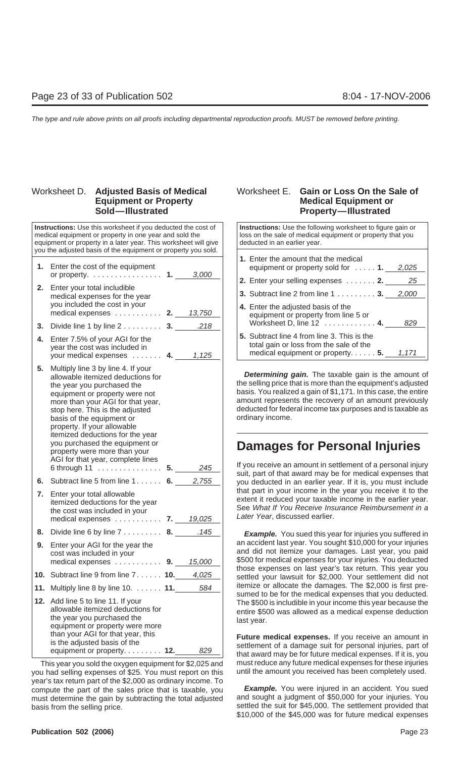**Instructions:** Use this worksheet if you deducted the cost of **Instructions:** Use the following worksheet to figure gain or medical equipment or property in one year and sold the loss on the sale of medical equipment or property that you equipment or property in a later year. This worksheet will give  $\vert$   $\vert$  deducted in an earlier year. you the adjusted basis of the equipment or property you sold. **1.** Enter the cost of the equipment or property. .................. **1.** 3,000 **2.** Enter your total includible medical expenses for the year you included the cost in your<br>medical expenses ............ **2.** 13,750 **3.** Divide line 1 by line 2 . . . . . . . . **3.** 218 4. Enter 7.5% of your AGI for the<br>year the cost was included in<br>your medical expenses ...... 4. 1,125 **5.** Multiply line 3 by line 4. If your **Determining gain.** The taxable gain is the amount of allowable itemized deductions for basis of the equipment or property. If your allowable itemized deductions for the year you purchased the equipment or AGI for that year, complete lines<br>6. Subtract line 5 from line 1....... **6.** 2,755 **and a** you deducted in an earlier year. If it is, you must include medical expenses ............... **7.** 19,025 **8.** Divide line 6 by line 7 . . . . . . . . 8. \_\_\_\_\_\_\_\_ 145 | Example. You sued this year for injuries you suffered in 12. Add line 5 to line 11. If your<br>allowable itemized deductions for<br>the year you purchased the<br>equipment or property were more<br>equipment or property were more

you had selling expenses of \$25. You must report on this until the amount you received has been completely used. year's tax return part of the \$2,000 as ordinary income. To compute the part of the sales price that is taxable, you **Example.** You were injured in an accident. You sued must determine the gain by subtracting the total adjusted and sought a judgment of \$50,000 for your injuries. You basis from the selling price. The settled the suit for \$45,000. The settlement provided that

## Worksheet D. **Adjusted Basis of Medical** Worksheet E. **Gain or Loss On the Sale of Equipment or Property Communisty Communisty Communisty Medical Equipment or Sold—Illustrated Property—Illustrated**

**1.** Enter the amount that the medical

| 1. Enter the amount that the medical<br>equipment or property sold for $\dots$ 1. 2,025                                             |
|-------------------------------------------------------------------------------------------------------------------------------------|
| 2. Enter your selling expenses  2.<br>25                                                                                            |
| <b>3.</b> Subtract line 2 from line 1 <b>3.</b> 2,000                                                                               |
| 4. Enter the adjusted basis of the<br>equipment or property from line 5 or<br>Worksheet D, line $12$ 4.                             |
| 5. Subtract line 4 from line 3. This is the<br>total gain or loss from the sale of the<br>medical equipment or property 5.<br>1,171 |

the year you purchased the selling price that is more than the equipment's adjusted the year you purchased the equipment or property were not **basis.** You realized a gain of \$1,171. In this case, the entire more than your AGI for that year, and more is amount represents the recovery of an amount previously stop here. This is the adjusted density and deducted for federal income tax purposes and is taxable as basis of the equipment or

## property were more than your **Damages for Personal Injuries**

you deducted in an earlier year. If it is, you must include 7. Enter your total allowable<br>
itemized deductions for the year<br>
the cost was included in your<br>
The cost was included in your<br>
The cost was included in your<br>
The cost was included in your<br>
The cost was included in your<br>
Th

**9.** Enter your AGI for the year the and accident last year. You sought \$10,000 for your injuries cost was included in your  $\begin{array}{r} \text{and } \text{d}t \text{ not } t \text{ termize} \text{ your } \text{damages.} \text{ Last year, you paid} \\ \text{model expresses} \end{array}$ medical expenses ........... **9.** 15,000 \$500 for medical expenses for your injuries. You deducted 10. Subtract line 9 from line 7...... 10. 4,025 settled your lawsuit for \$2,000. Your settlement did not<br>11. 584 settled your lawsuit for \$2,000. Your settlement did not<br>11. 584 settled your lawsuit for \$2,000. Your settle **11.** Multiply line 8 by line 10. . . . . . . 11. **11.** 584 **ignum** is the medical expenses that you deducted.

than your AGI for that year, this **Future medical expenses.** If you receive an amount in is the adjusted basis of the settlement of a damage suit for personal injuries, part of equipment or property. ........ **12.** <sup>829</sup> that award may be for future medical expenses. If it is, you This year you sold the oxygen equipment for \$2,025 and must reduce any future medical expenses for these injuries

\$10,000 of the \$45,000 was for future medical expenses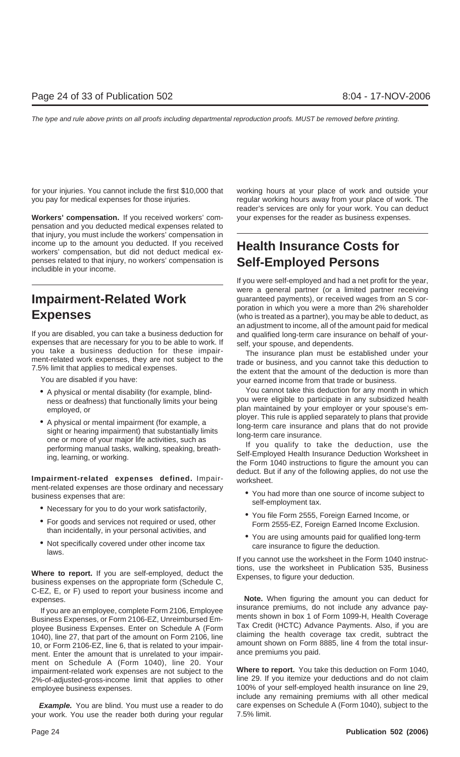for your injuries. You cannot include the first \$10,000 that working hours at your place of work and outside your you pay for medical expenses for those injuries. The regular working hours away from your place of work. The

**Workers' compensation.** If you received workers' com- your expenses for the reader as business expenses. pensation and you deducted medical expenses related to that injury, you must include the workers' compensation in income up to the amount you deducted. If you received **Health Insurance Costs for** workers' compensation, but did not deduct medical expenses related to that injury, no workers' compensation is **Self-Employed Persons** includible in your income.

If you are disabled, you can take a business deduction for and qualified long-term care insurance on behalf of yourexpenses that are necessary for you to be able to work. If self, your spouse, and dependents.<br>
you take a business deduction for these impair-<br>
ment-related work expenses, they are not subject to the trade or business, and

- 
- A physical or mental impairment (for example, a<br>sight or hearing impairment) that substantially limits<br>one or more of your major life activities, such as<br>performing manual tasks, walking, speaking, breath-<br>ing, learning,

- 
- 
- 

C-EZ, E, or F) used to report your business income and

10, or Form 2106-EZ, line 6, that is related to your impair-<br>ment. Enter the amount that is unrelated to your impair- ance premiums you paid. ment on Schedule A (Form 1040), line 20. Your<br>
impairment-related work expenses are not subject to the **Where to report.** You take this deduction on Form 1040,<br>
2%-of-adiusted-gross-income limit that applies to other line 2%-of-adjusted-gross-income limit that applies to other employee business expenses. 100% of your self-employed health insurance on line 29,

your work. You use the reader both during your regular 7.5% limit.

reader's services are only for your work. You can deduct

If you were self-employed and had a net profit for the year, were a general partner (or a limited partner receiving **Impairment-Related Work** guaranteed payments), or received wages from an S cor-<br> **Expenses** (who is treated as a partner), you may be able to deduct, as an adjustment to income, all of the amount paid for medical

You are disabled if you have: your earned income from that trade or business.

• A physical or mental disability (for example, blind-<br>You cannot take this deduction for any month in which ness or deafness) that functionally limits your being you were eligible to participate in any subsidized health employed, or plan maintained by your employer or your spouse's em-<br>ployer. This rule is applied separately to plans that provide

Impairment-related expenses defined. Impair-<br>ment-related expenses are those ordinary and necessary<br>in the state of the following applies, do not use the<br>ment-related expenses are those ordinary and necessary

- 
- Form 2555. Foreign Earned Income subject to<br>
 Necessary for you to do your work satisfactorily,<br>
 For goods and services not required or used, other<br>
 For goods and services not required or used, other<br>
 Not specifica
	-

If you cannot use the worksheet in the Form 1040 instruc-**Where to report.** If you are self-employed, deduct the the worksheet in Publication 535, Business business expenses on the appropriate form (Schedule C,

expenses.<br>If you are an employee, complete Form 2106, Employee, insurance premiums, do not include any advance pay-If you are an employee, complete Form 2106, Employee<br>Business Expenses, or Form 2106-EZ, Unreimbursed Em-<br>ployee Business Expenses. Enter on Schedule A (Form Tax Credit (HCTC) Advance Payments. Also, if you are<br>1040), line

include any remaining premiums with all other medical **Example.** You are blind. You must use a reader to do care expenses on Schedule A (Form 1040), subject to the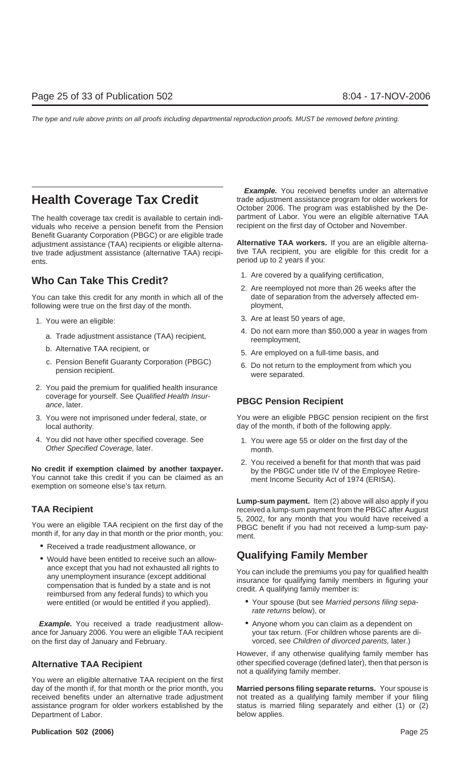viduals who receive a pension benefit from the Pension Benefit Guaranty Corporation (PBGC) or are eligible trade adjustment assistance (TAA) recipients or eligible alterna-<br>tive trade adjustment assistance (alternative TAA) recipi-<br>tive trade adjustment assistance (alternative TAA) recipi-<br>tive TAA recipient, you are eligible for thi tive trade adjustment assistance (alternative TAA) recipients. **period** up to 2 years if you:

## 1. Are covered by a qualifying certification, **Who Can Take This Credit?**

You can take this credit for any month in which all of the date of separation from the adversely affected emfollowing were true on the first day of the month. ployment,

- -
	-
	- c. Pension Benefit Guaranty Corporation (PBGC) 6. Do not return to the employment from which you pension recipient.
- 2. You paid the premium for qualified health insurance coverage for yourself. See Qualified Health Insur- **PBGC Pension Recipient** ance, later.
- local authority. day of the month, if both of the following apply.
- 4. You did not have other specified coverage. See 1. You were age 55 or older on the first day of the Other Specified Coverage, later. **month** month.

**No credit if exemption claimed by another taxpayer.** <br>You received a benefit for that month that was paid<br>You cannot take this credit if you can be claimed as an exemption on someone else's tax return.<br>exemption on someon

- Received a trade readjustment allowance, or
- **Qualifying Family Member** Would have been entitled to receive such an allowarice except that you had not exhausted all rights to<br>any unemployment insurance (except additional<br>compensation that is funded by a state and is not<br>reimbursed from any federal funds) to which you<br>credit. A qualifying fam

**Example.** You received a trade readjustment allow-<br> **Example.** You received a trade readjustment allow-<br>
your tax return. (For children whose parents are diance for January 2006. You were an eligible TAA recipient on the first day of January and February. vorced, see Children of divorced parents, later.)

You were an eligible alternative TAA recipient on the first day of the month if, for that month or the prior month, you **Married persons filing separate returns.** Your spouse is received benefits under an alternative trade adjustment not treated as a qualifying family member if your filing<br>assistance program for older workers established by the status is married filing separately and either (1) or Department of Labor. below applies.

**Example.** You received benefits under an alternative **Health Coverage Tax Credit** trade adjustment assistance program for older workers for October 2006. The program was established by the De-The health coverage tax credit is available to certain indi-<br>viduals who receive a pension benefit from the Pension recipient on the first day of October and November.

- 
- 2. Are reemployed not more than 26 weeks after the
- 1. You were an eligible:  $\overline{3}$ . Are at least 50 years of age,
	- a. Trade adjustment assistance (TAA) recipient, a. Trade adjustment assistance (TAA) recipient,
	- b. Alternative TAA recipient, or 5. Are employed on a full-time basis, and
		-

3. You were not imprisoned under federal, state, or You were an eligible PBGC pension recipient on the first

- 
- 

**Lump-sum payment.** Item (2) above will also apply if you **TAA Recipient** TAA **Recipient received a lump-sum payment from the PBGC after August** You were an eligible TAA recipient on the first day of the  $\frac{5}{2002}$ , for any month that you would have received a region of the prior month, you:<br>month if, for any day in that month or the prior month, you: ment

- were entitled (or would be entitled if you applied). Your spouse (but see Married persons filing separate returns below), or
	-

However, if any otherwise qualifying family member has Alternative TAA Recipient **Contained TAA Recipient** other specified coverage (defined later), then that person is not a qualifying family member.

status is married filing separately and either (1) or  $(2)$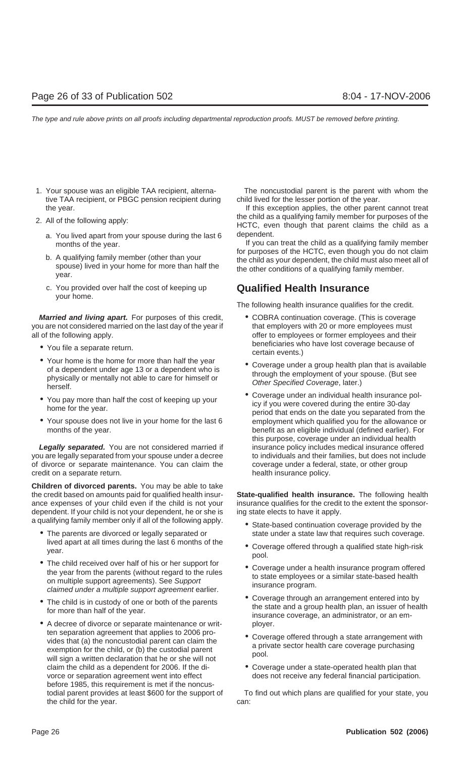- tive TAA recipient, or PBGC pension recipient during child lived for the lesser portion of the year.
- - a. You lived apart from your spouse during the last 6 dependent.
	- year.
	- c. You provided over half the cost of keeping up **Qualified Health Insurance** your home.

**Married and living apart.** For purposes of this credit, **•** COBRA continuation coverage. (This is coverage you are not considered married on the last day of the year if that employers with 20 or more employees must all of the following apply.  $\qquad \qquad$  offer to employees or former employees and their

- 
- Your home is the home for more than half the year<br>of a dependent under age 13 or a dependent who is<br>physically or mentally not able to care for himself or<br>herself.<br>Other Specified Coverage, later.)
- 
- Your spouse does not live in your home for the last 6 employment which qualified you for the allowance or<br>benefit as an eligible individual (defined earlier). For

**Legally separated.** You are not considered married if insurance policy includes medical insurance offered you are legally separated from your spouse under a decree to individuals and their families, but does not include of divorce or separate maintenance. You can claim the coverage under a federal, state, or other group credit on a separate return. The set of the separate return. The set of the separate return.

**Children of divorced parents.** You may be able to take the credit based on amounts paid for qualified health insur- **State-qualified health insurance.** The following health ance expenses of your child even if the child is not your insurance qualifies for the credit to the extent the sponsordependent. If your child is not your dependent, he or she is ing state elects to have it apply.

- 
- The child received over half of his or her support for<br>the year from the parents (without regard to the rules<br>on multiple support agreements). See *Support*<br>claimed under a multiple support agreement earlier.<br>claimed und
- 
- A decree of divorce or separate maintenance or writ-<br>ten separation agreement that applies to 2006 provides that (a) the noncustodial parent can claim the exemption for the child, or (b) the custodial parent<br>will sign a written declaration that he or she will not<br>will sign a written declaration that he or she will not claim the child as a dependent for 2006. If the di- • Coverage under a state-operated health plan that vorce or separation agreement went into effect does not receive any federal financial participation. before 1985, this requirement is met if the noncusthe child for the year. The canter of the state of the year.

1. Your spouse was an eligible TAA recipient, alterna- The noncustodial parent is the parent with whom the

the year. If this exception applies, the other parent cannot treat 2. All of the following apply:<br>
2. All of the following apply:<br>
HCTC, even though that parent claims the child as a

months of the year. If you can treat the child as a qualifying family member<br>for purposes of the HCTC, even though you do not claim b. A qualifying family member (other than your<br>the child as your dependent, the child must also meet all of<br>the other conditions of a qualifying family member.

The following health insurance qualifies for the credit.

- You file a separate return.<br>• You file a separate return.<br>certain events.)
	-
- You pay more than half the cost of keeping up your<br>home for the year.<br>home for the year.<br>period that ends on the date you separated from the benefit as an eligible individual (defined earlier). For this purpose, coverage under an individual health

- a qualifying family member only if all of the following apply.<br>• State-based continuation coverage provided by the<br>• state under a state law that requires such coverage. state under a state law that requires such coverage.
	- lived apart at all times during the last 6 months of the Coverage offered through a qualified state high-risk year.
		-
	- The child is in custody of one or both of the parents **•** Coverage through an arrangement entered into by the state and a group health plan, an issuer of health for more than half of the year.<br>
	for more than half of the
		-
		-

todial parent provides at least \$600 for the support of To find out which plans are qualified for your state, you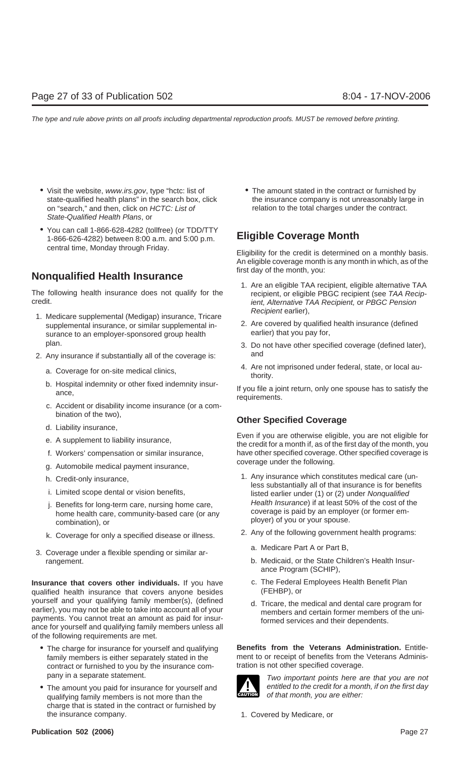- Visit the website, www.irs.gov, type "hctc: list of The amount stated in the contract or furnished by on "search," and then, click on HCTC: List of relation to the total charges under the contract. State-Qualified Health Plans, or
- You can call 1-866-628-4282 (tollfree) (or TDD/TTY 1-866-626-4282) between 8:00 a.m. and 5:00 p.m. **Eligible Coverage Month**

## first day of the month, you: **Nonqualified Health Insurance**

The following health insurance does not qualify for the recipient, or eligible PBGC recipient (see TAA Recipcredit. **ient, Alternative TAA Recipient, or PBGC Pension** 

- 1. Medicare supplemental (Medigap) insurance, Tricare<br>supplemental insurance, or similar supplemental in-<br>2. Are covered by qualified health insurance (defined supplemental insurance, or similar supplemental in-<br>surance to an employer-sponsored group health insurance (defined health insurance to an employer-sponsored group surance to an employer-sponsored group health plan. 3. Do not have other specified coverage (defined later),
- 2. Any insurance if substantially all of the coverage is: and
	-
	-
	- c. Accident or disability income insurance (or a combination of the two),<br> **Other Specified Coverage**<br>
	Even if you are otherwise eligible, you are not eligible for
	-
	-
	-
	- coverage under the following. g. Automobile medical payment insurance,
	-
	-
	-
	-
- a. Medicare Part A or Part B, 3. Coverage under a flexible spending or similar ar-

**Insurance that covers other individuals.** If you have c. The Federal Employees Health Benefit Plan qualified health insurance that covers anyone besides (FEHBP), or qualified health insurance that covers anyone besides yourself and your qualifying family member(s), (defined<br>earlier), you may not be able to take into account all of your<br>payments. You cannot treat an amount as paid for insur-<br>formed services and their dependents payments. You cannot treat an amount as paid for insur-<br>ance for yourself and qualifying family members unless all<br>ance for yourself and qualifying family members unless all of the following requirements are met.

- contract or furnished to you by the insurance company in a separate statement.
- qualifying family members is not more than the charge that is stated in the contract or furnished by the insurance company. The insurance company.

state-qualified health plans" in the search box, click the insurance company is not unreasonably large in

central time, Monday through Friday. Eligibility for the credit is determined on a monthly basis. An eligible coverage month is any month in which, as of the

- 1. Are an eligible TAA recipient, eligible alternative TAA
- 
- 
- a. Coverage for on-site medical clinics,  $\begin{array}{ccc} 4. & \text{Are not impossible} \\ \text{thority.} \end{array}$

b. Hospital indemnity or other fixed indemnity insur-<br>ance,<br>requirements.

Even if you are otherwise eigible, you are not eligible for e. A supplement to liability insurance, the credit for a month if, as of the first day of the month, you f. Workers' compensation or similar insurance, have other specified coverage. Other specified coverage is

- h. Credit-only insurance,<br>
1. Any insurance which constitutes medical care (un-<br>
less substantially all of that insurance is for benefits<br>
isted earlier under (1) or (2) under Nonqualified j. Benefits for long-term care, nursing home care,<br>home health care, community-based care (or any<br>constitution), or determined the coverage is paid by an employer (or former em-<br>combination), or
- 2. Any of the following government health programs: k. Coverage for only a specified disease or illness.
	-
- rangement. b. Medicaid, or the State Children's Health Insurance Program (SCHIP),
	-
	-

• The charge for insurance for yourself and qualifying **Benefits from the Veterans Administration.** Entitlefamily members is either separately stated in the ment to or receipt of benefits from the Veterans Adminis-<br>contract or furnished to you by the insurance com-<br>tration is not other specified coverage.



• The amount you paid for insurance for yourself and  $\sum_{n=1}^{\infty}$  entitled to the credit for a month, if on the first day qualifying family members is not more than the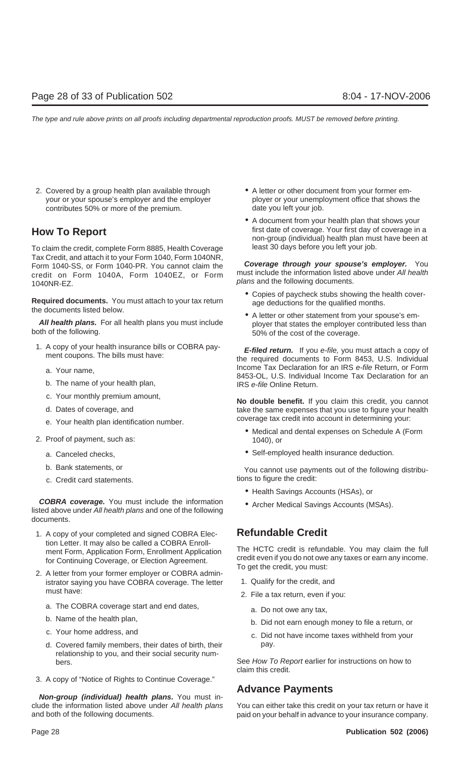2. Covered by a group health plan available through • A letter or other document from your former emcontributes 50% or more of the premium. The same of the state you left your job.

To claim the credit, complete Form 8885, Health Coverage least 30 days before you left your job. Tax Credit, and attach it to your Form 1040, Form 1040NR, Form 1040-SS, or Form 1040-PR. You cannot claim the **Coverage through your spouse's employer.** You must include the information listed above under All health credit on Form 1040A, Form 1040EZ, or Form must include the information listed above under All health 1040NR-EZ.

• Copies of paycheck stubs showing the health cover- **Required documents.** You must attach to your tax return age deductions for the qualified months.

**All health plans.** For all health plans you must include ployer that states the employer contributed less than both of the following.

- -
	- b. The name of your health plan,
	-
	-
	-
- 2. Proof of payment, such as: 1040), or
	-
	-
	- c. Credit card statements. tions to figure the credit:

**COBRA coverage.** You must include the information • Archer Medical Savings Accounts (MSAs). listed above under All health plans and one of the following documents.

- 1. A copy of your completed and signed COBRA Elec- **Refundable Credit** tion Letter. It may also be called a COBRA Enroll-
- for Continuing Coverage, or Election Agreement.<br>
2. A letter from your former employer or COBRA admin-<br>
istrator saving you have COBRA coverage. The letter 1. Qualify for the credit, and istrator saying you have COBRA coverage. The letter must have:  $\frac{2}{1}$  must have:
	- a. The COBRA coverage start and end dates,  $\frac{a}{a}$ . Do not owe any tax,
	-
	-
	- d. Covered family members, their dates of birth, their pay. relationship to you, and their social security num-
- 3. A copy of "Notice of Rights to Continue Coverage."

**Advance Payments Non-group (individual) health plans.** You must inand both of the following documents. paid on your behalf in advance to your insurance company.

- your or your spouse's employer and the employer ployer or your unemployment office that shows the
- A document from your health plan that shows your **How To Report first date of coverage. Your first day of coverage in a** non-group (individual) health plan must have been at

- 
- A letter or other statement from your spouse's em-50% of the cost of the coverage.

1. A copy of your health insurance bills or COBRA pay-<br>ment coupons. The bills must have:<br>the required documents to Form 8453, U.S. Individual a. Your name, Income Tax Declaration for an IRS e-file Return, or Form 8453-OL, U.S. Individual Income Tax Declaration for an IRS e-file Online Return.

c. Your monthly premium amount,<br> **No double benefit.** If you claim this credit, you cannot<br>
d. Dates of coverage, and<br>
d. Dates of coverage, and take the same expenses that you use to figure your health coverage tax credit into account in determining your: e. Your health plan identification number.

- Medical and dental expenses on Schedule A (Form
- a. Canceled checks,  $\bullet$  Self-employed health insurance deduction.

b. Bank statements, or **You cannot use payments out of the following distribu-**

- Health Savings Accounts (HSAs), or
- 

ment Form, Application Form, Enrollment Application The HCTC credit is refundable. You may claim the full<br>for Continuing Coverage or Election Agreement credit even if you do not owe any taxes or earn any income.

- 
- -
- b. Name of the health plan, b. Did not earn enough money to file a return, or
- c. Your home address, and c. Did not have income taxes withheld from your

bers. **See How To Report earlier for instructions on how to** See How To Report earlier for instructions on how to claim this credit.

clude the information listed above under All health plans You can either take this credit on your tax return or have it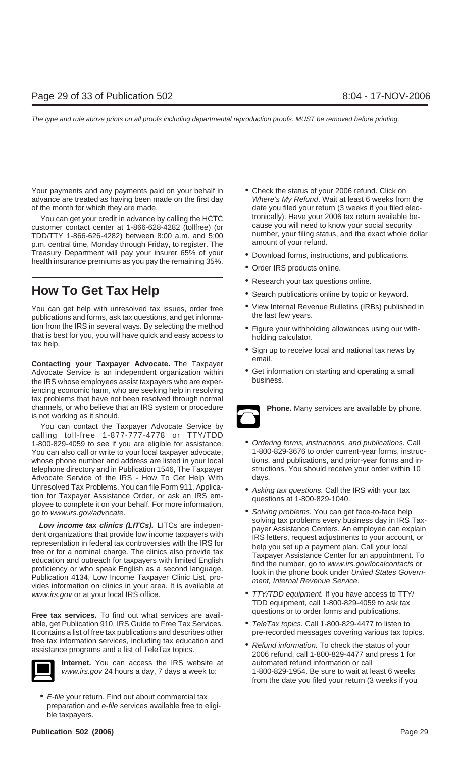Your payments and any payments paid on your behalf in • Check the status of your 2006 refund. Click on advance are treated as having been made on the first day Where's My Refund. Wait at least 6 weeks from the of the month for which they are made. date you filed your return (3 weeks if you filed elec-

customer contact center at 1-866-628-4282 (tollfree) (or cause you will need to know your social security<br>TDD/TTY 1-866-626-4282) between 8:00 a.m. and 5:00 cumber, your filing status, and the exact whole dollar TDD/TTY 1-866-626-4282) between 8:00 a.m. and 5:00 number, your filing status, and the exact whole domain amount of your refund. p.m. central time, Monday through Friday, to register. The Treasury Department will pay your insurer 65% of your • Download forms, instructions, and publications.<br>health insurance premiums as you pay the remaining 35%.<br>• Order IRS products online.

## **How To Get Tax Help** • Search publications online by topic or keyword.

publications and forms, ask tax questions, and get information from the IRS in several ways. By selecting the method <br>
that is best for you, you will have quick and easy access to<br>
tax help.<br>
Sign up to receive local and national tax news by

email. **Contacting your Taxpayer Advocate.** The Taxpayer Advocate Service is an independent organization within • Get inform<br>the IRS whose employees assist taxpayers who are experthe IRS whose employees assist taxpayers who are experiencing economic harm, who are seeking help in resolving tax problems that have not been resolved through normal channels, or who believe that an IRS system or procedure **Phone.** Many services are available by phone. is not working as it should.

You can contact the Taxpayer Advocate Service by calling toll-free 1-877-777-4778 or TTY/TDD 1-800-829-4059 to see if you are eligible for assistance.  $\bullet$  Ordering forms, instructions, and publications. Call<br>You can also call or write to your local taxpayer advocate. 1-800-829-3676 to order current-year forms, in You can also call or write to your local taxpayer advocate,  $1-800-829-3676$  to order current-year forms, instruc-<br>whose phone number and address are listed in your local tions, and publications, and prior-year forms and i whose phone number and address are listed in your local telephone directory and in Publication 1546, The Taxpayer structions. You should receive your order within 10 Advocate Service of the IRS - How To Get Help With days. Unresolved Tax Problems. You can file Form 911, Applica-<br>tion for Taxpayer Assistance Order, or ask an IRS em-<br>ployee to complete it on your behalf. For more information,<br>ployee to complete it on your behalf. For more info

**Low income tax clinics (LITCs).** LITCs are independent organizations that provide low income taxpayers with<br>
representation in federal tax controversies with the IRS for<br>
free or for a nominal charge. The clinics also pro vides information on clinics in your area. It is available at www.irs.gov or at your local IRS office.

questions or to order forms and publications. **Free tax services.** To find out what services are available, get Publication 910, IRS Guide to Free Tax Services. • TeleTax topics. Call 1-800-829-4477 to listen to<br>It contains a list of free tax publications and describes other pre-recorded messages covering various tax topic It contains a list of free tax publications and describes other free tax information services, including tax education and<br>assistance programs and a list of TeleTax topics.<br>2006 refund, call 1-800-829-4477 and press 1 for



**Internet.** You can access the IRS website at automated refund information or call

• E-file your return. Find out about commercial tax preparation and e-file services available free to eligible taxpayers.

- You can get your credit in advance by calling the HCTC tronically). Have your 2006 tax return available be-<br>stomer contact center at 1-866-628-4282 (tollfree) (or cause you will need to know your social security
	-
	-
	- Research your tax questions online.
	-
- You can get help with unresolved tax issues, order free View Internal Revenue Bulletins (IRBs) published in publications and forms ask tax questions and get informa.
	-
	-
	-



- 
- 
- go to www.irs.gov/advocate.<br>
 Solving problems. You can get face-to-face help<br>
solving tax problems every business day in IRS Tax-
	- TDD equipment, call 1-800-829-4059 to ask tax
	-
	- www.irs.gov 24 hours a day, 7 days a week to: 1-800-829-1954. Be sure to wait at least 6 weeks from the date you filed your return (3 weeks if you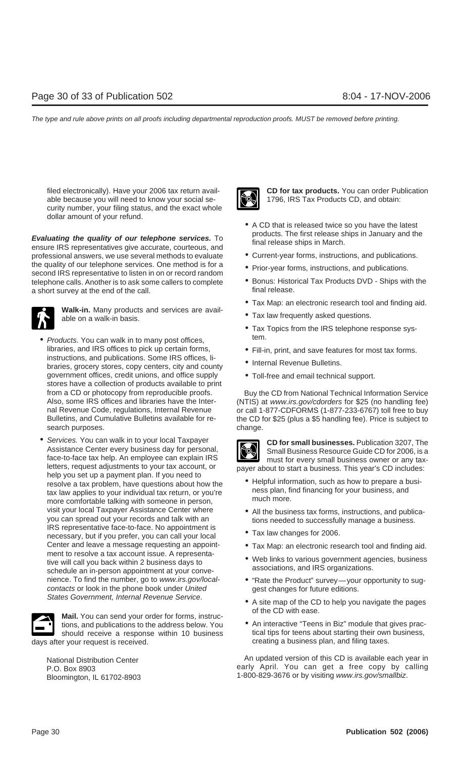filed electronically). Have your 2006 tax return avail- **CD for tax products.** You can order Publication able because you will need to know your social se-<br> **1796**, IRS Tax Products CD, and obtain: curity number, your filing status, and the exact whole dollar amount of your refund.

**Evaluating the quality of our telephone services.** To **refinition** products. The first release ships in March. ensure IRS representatives give accurate, courteous, and professional answers, we use several methods to evaluate • Current-year forms, instructions, and publications. the quality of our telephone services. One method is for a<br>
second IRS representative to listen in on or record random<br>
telephone calls. Another is to ask some callers to complete <br>
• Bonus: Historical Tax Products DVD - S telephone calls. Another is to ask some callers to complete • Bonus: Historical Short survey at the end of the call a short survey at the end of the call.



**Walk-in.** Many products and services are avail-<br>able on a walk-in basis. **able on a walk-in** basis.

- Products. You can walk in to many post offices, libraries, and IRS offices to pick up certain forms,  $\bullet$  Fill-in, print, and save features for most tax forms.<br>instructions, and publications. Some IRS offices, liinstructions, and publications. Some IRS offices, if  $\bullet$  Internal Revenue Bulletins.<br>braries, grocery stores, copy centers, city and county government offices, credit unions, and office supply  $\bullet$  Toll-free and email technical support. stores have a collection of products available to print search purposes. The change of the change of the change.
- Services. You can walk in to your local Taxpayer<br>
Assistance Center every business day for personal,<br>
face-to-face tax help. An employee can explain IRS<br>
letters, request adjustments to your tax account, or<br>
help you set tax law applies to your individual tax return, or you're hess plan, fi<br>more comfortable talking with someone in person, he much more. you can spread out your records and talk with an films the state of the successfully manage a business.<br>IRS representative face-to-face. No appointment is **Conservent Conservent Conservent Conservent Conservent Conse**<br>Tax Center and leave a message requesting an appoint-<br>ment to resolve a tax account issue. A representa-<br>ment to resolve a tax account issue. A representative will call you back within 2 business days to<br>schedule an in-person appointment at your conve-<br>schedule an in-person appointment at your conve-<br>associations, and IRS organizations. contacts or look in the phone book under United gest changes for future editions.<br>States Government, Internal Revenue Service.



**Mail.** You can send your order for forms, instruc-<br> **Mail.** You can send your order for forms, instruc-<br> **•** An interactive "Teens in Biz" module that gives practions, and publications to the address below. You days after your request is received. creating a business plan, and filing taxes.



- A CD that is released twice so you have the latest
- 
- 
- 
- Tax Map: an electronic research tool and finding aid.
- 
- Tax Topics from the IRS telephone response sys-
- 
- 
- 

from a CD or photocopy from reproducible proofs. Buy the CD from National Technical Information Service Also, some IRS offices and libraries have the Inter- (NTIS) at www.irs.gov/cdorders for \$25 (no handling fee) nal Revenue Code, regulations, Internal Revenue or call 1-877-CDFORMS (1-877-233-6767) toll free to buy Bulletins, and Cumulative Bulletins available for re- the CD for \$25 (plus a \$5 handling fee). Price is subject to



- 
- visit your local Taxpayer Assistance Center where All the business tax forms, instructions, and publica-
	-
	-
	-
- nience. To find the number, go to www.irs.gov/local- "Rate the Product" survey—your opportunity to sug-
	- A site map of the CD to help you navigate the pages
	- should receive a response within 10 business tical tips for teens about starting their own business,

National Distribution Center An updated version of this CD is available each year in P.O. Box 8903 early April. You can get a free copy by calling Bloomington, IL 61702-8903 1-800-829-3676 or by visiting www.irs.gov/smallbiz.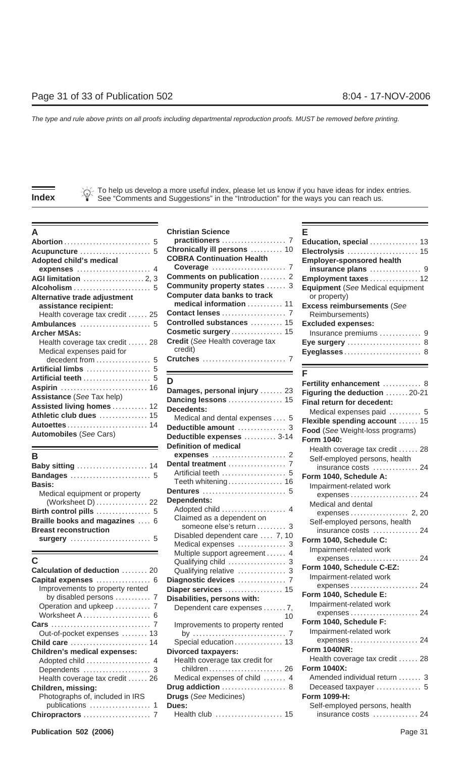To help us develop a more useful index, please let us know if you have ideas for index entries. **Index** See "Comments and Suggestions" in the "Introduction" for the ways you can reach us.

| Acupuncture  5                   |
|----------------------------------|
| <b>Adopted child's medical</b>   |
| expenses  4                      |
|                                  |
| Alcoholism  5                    |
| Alternative trade adjustment     |
| assistance recipient:            |
| Health coverage tax credit  25   |
| Ambulances  5                    |
| <b>Archer MSAs:</b>              |
| Health coverage tax credit  28   |
| Medical expenses paid for        |
| decedent from  5                 |
| Artificial limbs  5              |
| Artificial teeth  5              |
| Aspirin  16                      |
| <b>Assistance (See Tax help)</b> |
| Assisted living homes  12        |
| Athletic club dues  15           |
|                                  |
| Automobiles (Coo Coro)           |

| <b>Basis:</b>                  | Teeth whitening 16                                 | <b>Jell-elliployed persons, ricalli</b><br>insurance costs  24<br>Form 1040, Schedule A: |
|--------------------------------|----------------------------------------------------|------------------------------------------------------------------------------------------|
|                                |                                                    | Impairment-related work                                                                  |
| Medical equipment or property  |                                                    |                                                                                          |
|                                | Dependents:                                        | Medical and dental                                                                       |
|                                |                                                    |                                                                                          |
| Braille books and magazines  6 | Claimed as a dependent on                          | Self-employed persons, health                                                            |
| <b>Breast reconstruction</b>   | someone else's return  3                           | insurance costs  24                                                                      |
|                                | Disabled dependent care  7, 10<br>Modical overages | Form 1040, Schedule C:                                                                   |

| Calculation of deduction  20                                                                          | Qualifying relative  3                                                                                         | FORM TU40, SCREQUIE C-EZ:                                                                                   |
|-------------------------------------------------------------------------------------------------------|----------------------------------------------------------------------------------------------------------------|-------------------------------------------------------------------------------------------------------------|
|                                                                                                       | Diagnostic devices  7                                                                                          | Impairment-related work                                                                                     |
| Improvements to property rented<br>by disabled persons  7<br>Operation and upkeep  7<br>Worksheet A 6 | Diaper services  15<br>Disabilities, persons with:<br>Dependent care expenses 7,<br>10                         | expenses 24<br>Form 1040, Schedule E:<br>Impairment-related work<br>expenses 24                             |
| Out-of-pocket expenses  13                                                                            | Improvements to property rented                                                                                | Form 1040, Schedule F:<br>Impairment-related work                                                           |
|                                                                                                       | Special education  13                                                                                          | expenses 24                                                                                                 |
| <b>Children's medical expenses:</b><br>Health coverage tax credit  26                                 | <b>Divorced taxpayers:</b><br>Health coverage tax credit for<br>children<br>26<br>Medical expenses of child  4 | <b>Form 1040NR:</b><br>Health coverage tax credit  28<br><b>Form 1040X:</b><br>Amended individual return  3 |
| Children, missing:                                                                                    |                                                                                                                | Deceased taxpayer  5                                                                                        |
| Photographs of, included in IRS                                                                       | <b>Drugs</b> (See Medicines)<br>Dues:                                                                          | Form 1099-H:<br>Self-employed persons, health                                                               |
|                                                                                                       |                                                                                                                | insurance costs  24                                                                                         |

| Α                              | <b>Christian Science</b>            |                                         |
|--------------------------------|-------------------------------------|-----------------------------------------|
|                                |                                     | Education, special  13                  |
| Acupuncture  5                 | Chronically ill persons  10         | Electrolysis  15                        |
| <b>Adopted child's medical</b> | <b>COBRA Continuation Health</b>    | <b>Employer-sponsored health</b>        |
|                                |                                     |                                         |
| AGI limitation 2, 3            | Comments on publication  2          | Employment taxes  12                    |
| Alcoholism  5                  | Community property states  3        | <b>Equipment</b> (See Medical equipment |
| Alternative trade adjustment   | <b>Computer data banks to track</b> | or property)                            |
| assistance recipient:          | medical information  11             | <b>Excess reimbursements (See</b>       |
| Health coverage tax credit  25 |                                     | Reimbursements)                         |
| Ambulances<br>5                | Controlled substances  15           | <b>Excluded expenses:</b>               |
| <b>Archer MSAs:</b>            | Cosmetic surgery 15                 | Insurance premiums  9                   |
| Health coverage tax credit  28 | Credit (See Health coverage tax     | Eye surgery  8                          |
| Medical expenses paid for      | credit)                             |                                         |
|                                |                                     |                                         |
|                                |                                     |                                         |

| Aspirin  16<br><b>Assistance</b> (See Tax help)<br>Assisted living homes  12<br>Athletic club dues  15<br><b>Automobiles (See Cars)</b> | Damages, personal injury  23<br>Dancing lessons  15<br><b>Decedents:</b><br>Medical and dental expenses  5<br>Deductible amount  3<br>Deductible expenses  3-14<br><b>Definition of medical</b> | $\mathsf{r}$ erunty emiancement $\ldots \ldots$<br>Figuring the deduction<br>Final return for decedent:<br>Medical expenses paid<br>Flexible spending account<br>Food (See Weight-loss programs<br>Form 1040: |
|-----------------------------------------------------------------------------------------------------------------------------------------|-------------------------------------------------------------------------------------------------------------------------------------------------------------------------------------------------|---------------------------------------------------------------------------------------------------------------------------------------------------------------------------------------------------------------|
| в                                                                                                                                       |                                                                                                                                                                                                 | Health coverage tax credit<br>Self-employed persons, health                                                                                                                                                   |
| Baby sitting  14                                                                                                                        | Dental treatment  7                                                                                                                                                                             | insurance costs                                                                                                                                                                                               |
| <b>Bandages</b> 5                                                                                                                       | Artificial teeth  5                                                                                                                                                                             | Form 1040, Schedule A:                                                                                                                                                                                        |
| Basis:                                                                                                                                  | Teeth whitening 16                                                                                                                                                                              | Impairment-related work                                                                                                                                                                                       |
| Medical equipment or property                                                                                                           |                                                                                                                                                                                                 | expenses                                                                                                                                                                                                      |
|                                                                                                                                         | Dependents:                                                                                                                                                                                     | Medical and dental                                                                                                                                                                                            |
| Birth control pills  5                                                                                                                  | Claimed as a dependent on                                                                                                                                                                       | expenses                                                                                                                                                                                                      |
| Braille books and magazines  6<br><b>Breast reconstruction</b>                                                                          | someone else's return 3                                                                                                                                                                         | Self-employed persons, health                                                                                                                                                                                 |
|                                                                                                                                         | Disabled dependent care  7, 10                                                                                                                                                                  | insurance costs                                                                                                                                                                                               |
|                                                                                                                                         | Medical expenses  3                                                                                                                                                                             | Form 1040, Schedule C:<br>Impairment-related work                                                                                                                                                             |
|                                                                                                                                         | Multiple support agreement  4                                                                                                                                                                   | expenses                                                                                                                                                                                                      |
| C                                                                                                                                       | Qualifying child  3                                                                                                                                                                             | Form 1040, Schedule C-EZ:                                                                                                                                                                                     |
| Calculation of deduction  20                                                                                                            | Qualifying relative  3                                                                                                                                                                          | Impairment-related work                                                                                                                                                                                       |
| Capital expenses  6<br>Improvements to property rented                                                                                  | Diagnostic devices  7                                                                                                                                                                           | expenses                                                                                                                                                                                                      |
|                                                                                                                                         | Diaper services  15<br>Disabilities, persons with:                                                                                                                                              | Form 1040, Schedule E:                                                                                                                                                                                        |
| Operation and upkeep  7                                                                                                                 | Dependent care expenses  7,                                                                                                                                                                     | Impairment-related work                                                                                                                                                                                       |
| Worksheet A 6                                                                                                                           | 10                                                                                                                                                                                              | expenses                                                                                                                                                                                                      |
|                                                                                                                                         | Improvements to property rented                                                                                                                                                                 | Form 1040, Schedule F:                                                                                                                                                                                        |
| Out-of-pocket expenses  13                                                                                                              |                                                                                                                                                                                                 | Impairment-related work                                                                                                                                                                                       |
| Child care  14                                                                                                                          | Special education  13                                                                                                                                                                           | expenses                                                                                                                                                                                                      |
| <b>Children's medical expenses:</b>                                                                                                     | <b>Divorced taxpayers:</b>                                                                                                                                                                      | <b>Form 1040NR:</b>                                                                                                                                                                                           |
|                                                                                                                                         | Health coverage tax credit for                                                                                                                                                                  | Health coverage tax credit                                                                                                                                                                                    |
| Dependents  3                                                                                                                           | children 26                                                                                                                                                                                     | <b>Form 1040X:</b>                                                                                                                                                                                            |
| Health coverage tax credit  26                                                                                                          | Medical expenses of child  4                                                                                                                                                                    | Amended individual return                                                                                                                                                                                     |
| Children, missing:                                                                                                                      | Drug addiction  8<br><b>Drugs (See Medicines)</b>                                                                                                                                               | Deceased taxpayer<br>Form 1099-H:                                                                                                                                                                             |
| Photographs of, included in IRS                                                                                                         | Dues:                                                                                                                                                                                           | Self-employed persons, health                                                                                                                                                                                 |
|                                                                                                                                         | Health club  15                                                                                                                                                                                 | insurance costs                                                                                                                                                                                               |
|                                                                                                                                         |                                                                                                                                                                                                 |                                                                                                                                                                                                               |

| Education, special  13                  |
|-----------------------------------------|
| Electrolysis  15                        |
| <b>Employer-sponsored health</b>        |
|                                         |
| Employment taxes  12                    |
| <b>Equipment</b> (See Medical equipment |
| or property)                            |
| <b>Excess reimbursements (See</b>       |
| Reimbursements)                         |
| <b>Excluded expenses:</b>               |
| Insurance premiums  9                   |
| Eye surgery<br>8                        |
| Eyeglasses                              |
|                                         |

| Artificial limbs  5                                            |                                                   | F                                                          |
|----------------------------------------------------------------|---------------------------------------------------|------------------------------------------------------------|
| Artificial teeth  5                                            | D                                                 |                                                            |
| Aspirin  16                                                    | Damages, personal injury  23                      | Fertility enhancement  8                                   |
| <b>Assistance</b> (See Tax help)                               | Dancing lessons  15                               | Figuring the deduction 20-21<br>Final return for decedent: |
| Assisted living homes  12                                      | Decedents:                                        |                                                            |
| Athletic club dues  15                                         | Medical and dental expenses  5                    | Medical expenses paid  5                                   |
|                                                                | Deductible amount  3                              | Flexible spending account  15                              |
| <b>Automobiles (See Cars)</b>                                  | Deductible expenses  3-14                         | Food (See Weight-loss programs)                            |
|                                                                | <b>Definition of medical</b>                      | Form 1040:                                                 |
| В                                                              |                                                   | Health coverage tax credit  28                             |
|                                                                |                                                   | Self-employed persons, health                              |
| Baby sitting  14                                               |                                                   | insurance costs  24                                        |
| Bandages  5                                                    | Teeth whitening 16                                | Form 1040, Schedule A:                                     |
| <b>Basis:</b>                                                  |                                                   | Impairment-related work                                    |
| Medical equipment or property                                  | Dependents:                                       | expenses 24                                                |
| (Worksheet D)  22<br>Birth control pills  5                    |                                                   | Medical and dental                                         |
|                                                                | Claimed as a dependent on                         |                                                            |
| Braille books and magazines  6<br><b>Breast reconstruction</b> | someone else's return  3                          | Self-employed persons, health                              |
|                                                                | Disabled dependent care  7, 10                    | insurance costs  24                                        |
|                                                                | Medical expenses  3                               | Form 1040, Schedule C:                                     |
|                                                                | Multiple support agreement  4                     | Impairment-related work                                    |
| C                                                              | Qualifying child  3                               | expenses 24                                                |
| Calculation of deduction  20                                   | Qualifying relative  3                            | Form 1040, Schedule C-EZ:                                  |
| Capital expenses  6                                            | Diagnostic devices  7                             | Impairment-related work                                    |
| Improvements to property rented                                | Diaper services  15                               | expenses 24                                                |
| by disabled persons  7                                         | Disabilities, persons with:                       | Form 1040, Schedule E:                                     |
| Operation and upkeep  7                                        | Dependent care expenses  7,                       | Impairment-related work                                    |
| Worksheet A 6                                                  | 10                                                | expenses 24<br>Form 1040, Schedule F:                      |
|                                                                | Improvements to property rented                   |                                                            |
| Out-of-pocket expenses  13                                     |                                                   | Impairment-related work<br>expenses 24                     |
| Child care  14                                                 | Special education 13                              | <b>Form 1040NR:</b>                                        |
| <b>Children's medical expenses:</b>                            | <b>Divorced taxpayers:</b>                        |                                                            |
|                                                                | Health coverage tax credit for                    | Health coverage tax credit  28<br><b>Form 1040X:</b>       |
| Dependents  3                                                  | children 26                                       | Amended individual return  3                               |
| Health coverage tax credit  26                                 | Medical expenses of child  4                      |                                                            |
| Children, missing:                                             | Drug addiction  8<br><b>Drugs (See Medicines)</b> | Deceased taxpayer  5<br>Form 1099-H:                       |
| Photographs of, included in IRS                                |                                                   |                                                            |
|                                                                | Dues:                                             | Self-employed persons, health                              |
|                                                                |                                                   | insurance costs  24                                        |

**Publication 502 (2006)** Page 31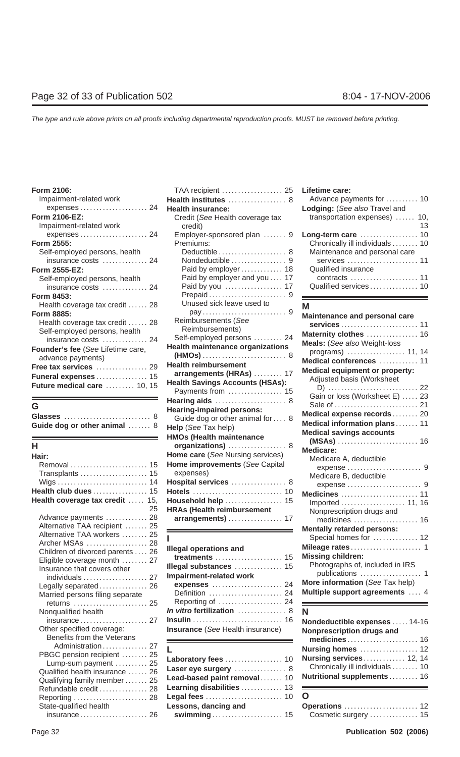| Form 2106:<br>Impairment-related work<br>$expenses \ldots \ldots \ldots \ldots \ldots 24$ | TAA recipient  25 Lifetime care:<br>Health institutes  8<br><b>Health insurance:</b> | Advance payments for  10<br>Lodging: (See also Travel and                                                                         |
|-------------------------------------------------------------------------------------------|--------------------------------------------------------------------------------------|-----------------------------------------------------------------------------------------------------------------------------------|
| Form 2106-EZ:                                                                             | Credit (See Health coverage tax                                                      | transportation expenses)  10,                                                                                                     |
| Impairment-related work                                                                   | credit)                                                                              | 13                                                                                                                                |
| Form 2555:<br>Self-employed persons, health<br>insurance costs  24                        | Premiums:                                                                            | Employer-sponsored plan  9 Long-term care  10<br>Chronically ill individuals  10<br>Maintenance and personal care<br>services  11 |
| Form 2555-EZ:                                                                             | Paid by employer 18                                                                  | Qualified insurance                                                                                                               |
| Self-employed persons, health                                                             | Paid by employer and you  17                                                         |                                                                                                                                   |
| insurance costs  24                                                                       |                                                                                      | Qualified services 10                                                                                                             |
| Form 8453:<br>Health coverage tax credit  28                                              | Unused sick leave used to                                                            | M                                                                                                                                 |
| <b>Form 8885:</b>                                                                         |                                                                                      | Maintenance and personal care                                                                                                     |
| Health coverage tax credit  28                                                            | Reimbursements (See                                                                  |                                                                                                                                   |
| Self-employed persons, health                                                             | Reimbursements)                                                                      | Maternity clothes  16                                                                                                             |
| insurance costs  24                                                                       | Self-employed persons  24                                                            | Meals: (See also Weight-loss                                                                                                      |
| Founder's fee (See Lifetime care,                                                         | <b>Health maintenance organizations</b>                                              | programs)  11, 14                                                                                                                 |
| advance payments)                                                                         |                                                                                      | Medical conferences  11                                                                                                           |
| Free tax services  29                                                                     | <b>Health reimbursement</b>                                                          | <b>Medical equipment or property:</b>                                                                                             |
| Funeral expenses 15                                                                       | arrangements (HRAs)  17                                                              | Adjusted basis (Worksheet                                                                                                         |
| Future medical care  10, 15                                                               | <b>Health Savings Accounts (HSAs):</b><br>Payments from  15                          | $\sim$                                                                                                                            |

| Guide dog or other animal |  |  |  |  |
|---------------------------|--|--|--|--|

| Hair:                             |    |
|-----------------------------------|----|
| Removal  15                       |    |
| Transplants  15                   |    |
| Wigs  14                          |    |
| Health club dues  15              |    |
| Health coverage tax credit  15,   |    |
|                                   | 25 |
| Advance payments  28              |    |
| Alternative TAA recipient  25     |    |
| Alternative TAA workers  25       |    |
| Archer MSAs  28                   |    |
| Children of divorced parents  26  |    |
| Eligible coverage month  27       |    |
| Insurance that covers other       |    |
| individuals  27                   |    |
| Legally separated 26              |    |
| Married persons filing separate   |    |
| returns  25                       |    |
| Nonqualified health               |    |
| insurance 27                      |    |
| Other specified coverage:         |    |
| <b>Benefits from the Veterans</b> |    |
| Administration 27                 |    |
| PBGC pension recipient  25        |    |
| Lump-sum payment  25              |    |
| Qualified health insurance  26    |    |
| Qualifying family member 25       |    |
| Refundable credit  28             |    |
| Reporting  28                     |    |
| State-qualified health            |    |
|                                   |    |

| Form 2106:                                                      | TAA recipient  25                                           | Lifetime care:                                                 |
|-----------------------------------------------------------------|-------------------------------------------------------------|----------------------------------------------------------------|
| Impairment-related work<br>expenses 24                          | Health institutes  8                                        | Advance payments for  10                                       |
| Form 2106-EZ:                                                   | <b>Health insurance:</b><br>Credit (See Health coverage tax | Lodging: (See also Travel and<br>transportation expenses)  10, |
| Impairment-related work                                         | credit)                                                     | 13                                                             |
| expenses 24                                                     | Employer-sponsored plan  9                                  | Long-term care  10                                             |
| Form 2555:                                                      | Premiums:                                                   | Chronically ill individuals  10                                |
| Self-employed persons, health                                   | Deductible  8                                               | Maintenance and personal care                                  |
| insurance costs  24                                             | Nondeductible  9                                            | services  11                                                   |
| Form 2555-EZ:                                                   | Paid by employer 18                                         | Qualified insurance                                            |
| Self-employed persons, health                                   | Paid by employer and you  17                                | contracts  11                                                  |
| insurance costs  24                                             | Paid by you  17                                             | Qualified services 10                                          |
| Form 8453:                                                      | Unused sick leave used to                                   |                                                                |
| Health coverage tax credit  28                                  |                                                             | М                                                              |
| Form 8885:                                                      | Reimbursements (See                                         | Maintenance and personal care                                  |
| Health coverage tax credit  28<br>Self-employed persons, health | Reimbursements)                                             | services 11                                                    |
| insurance costs  24                                             | Self-employed persons  24                                   | Maternity clothes  16                                          |
| Founder's fee (See Lifetime care,                               | <b>Health maintenance organizations</b>                     | <b>Meals:</b> (See also Weight-loss                            |
| advance payments)                                               |                                                             | programs)  11, 14                                              |
| Free tax services  29                                           | <b>Health reimbursement</b>                                 | Medical conferences  11                                        |
| Funeral expenses 15                                             | arrangements (HRAs)  17                                     | <b>Medical equipment or property:</b>                          |
| Future medical care  10, 15                                     | <b>Health Savings Accounts (HSAs):</b>                      | Adjusted basis (Worksheet                                      |
|                                                                 | Payments from  15                                           | Gain or loss (Worksheet E)  23                                 |
| G                                                               |                                                             |                                                                |
|                                                                 | <b>Hearing-impaired persons:</b>                            | Medical expense records  20                                    |
|                                                                 | Guide dog or other animal for  8                            | Medical information plans 11                                   |
| Guide dog or other animal  8                                    | Help (See Tax help)                                         | <b>Medical savings accounts</b>                                |
|                                                                 | <b>HMOs (Health maintenance</b>                             |                                                                |
| Н.                                                              | organizations)  8                                           | <b>Medicare:</b>                                               |
| Hair:                                                           | Home care (See Nursing services)                            | Medicare A, deductible                                         |
| Removal  15                                                     | Home improvements (See Capital                              |                                                                |
| Transplants  15                                                 | expenses)                                                   | Medicare B, deductible                                         |
|                                                                 | Hospital services  8                                        | expense  9                                                     |
| Health club dues  15                                            |                                                             | Medicines  11                                                  |
| Health coverage tax credit  15,                                 | Household help  15                                          | Imported  11, 16                                               |
| 25<br>Advance payments  28                                      | <b>HRAs (Health reimbursement</b>                           | Nonprescription drugs and                                      |
| Alternative TAA recipient  25                                   | arrangements)  17                                           | medicines  16<br>Mantally ratardad norcone:                    |
|                                                                 |                                                             |                                                                |

| Arcner MSAS   28<br>Children of divorced parents  26<br>Eligible coverage month  27<br>Insurance that covers other<br>Legally separated 26<br>Married persons filing separate                                                                                                      | <b>Illegal operations and</b><br>Illegal substances  15<br><b>Impairment-related work</b><br>expenses  24<br>Definition  24 | Mileage rates<br><b>Missing children:</b><br>Photographs of, included in IRS<br>publications<br>More information (See Tax help)<br>Multiple support agreements |
|------------------------------------------------------------------------------------------------------------------------------------------------------------------------------------------------------------------------------------------------------------------------------------|-----------------------------------------------------------------------------------------------------------------------------|----------------------------------------------------------------------------------------------------------------------------------------------------------------|
| Nonqualified health<br>Other specified coverage:<br>and the first of the Medicine of the Medicine of the Medicine of the U.S. of the U.S. of the U.S. of the U.S. of the U.S. of the U.S. of the U.S. of the U.S. of the U.S. of the U.S. of the U.S. of the U.S. of the U.S. of t | In vitro fertilization  8 N<br><b>Insurance</b> (See Health insurance)                                                      | Nondeductible expenses 1<br>Nonprescription drugs and                                                                                                          |

| PBGC pension recipient  25     |                                    |    |
|--------------------------------|------------------------------------|----|
| Lump-sum payment  25           |                                    |    |
| Qualified health insurance  26 | Laser eye surgery  8               |    |
| Qualifying family member 25    | Lead-based paint removal  10 Nu    |    |
| Refundable credit  28          | Learning disabilities  13 $\equiv$ |    |
|                                |                                    |    |
| State-qualified health         | Lessons, dancing and               | Oı |
|                                |                                    |    |
|                                |                                    |    |

| Advance payments for  10        |     |
|---------------------------------|-----|
| Lodging: (See also Travel and   |     |
| transportation expenses)        | 10. |
|                                 | 13  |
| Long-term care                  | 10  |
| Chronically ill individuals  10 |     |
| Maintenance and personal care   |     |
| services  11                    |     |
| <b>Qualified insurance</b>      |     |
| contracts  11                   |     |
| Qualified services  10          |     |
|                                 |     |

| rm 8885:<br>Health coverage tax credit  28<br>Self-employed persons, health<br>insurance costs  24<br><b>under's fee</b> (See Lifetime care,<br>advance payments)<br>ee tax services  29<br>neral expenses 15<br>ture medical care  10, 15 | Reimbursements (See<br>Reimbursements)<br>Self-employed persons  24<br><b>Health maintenance organizations</b><br><b>Health reimbursement</b><br>arrangements (HRAs)  17<br><b>Health Savings Accounts (HSAs):</b><br>Payments from  15 | <br>Maintenance and personal care<br>Maternity clothes  16<br>Meals: (See also Weight-loss<br>programs)  11, 14<br>Medical conferences  11<br><b>Medical equipment or property:</b><br>Adjusted basis (Worksheet<br>Gain or loss (Worksheet E)  23 |
|--------------------------------------------------------------------------------------------------------------------------------------------------------------------------------------------------------------------------------------------|-----------------------------------------------------------------------------------------------------------------------------------------------------------------------------------------------------------------------------------------|----------------------------------------------------------------------------------------------------------------------------------------------------------------------------------------------------------------------------------------------------|
| uide dog or other animal  8                                                                                                                                                                                                                | <b>Hearing-impaired persons:</b><br>Guide dog or other animal for  8<br>Help (See Tax help)<br><b>HMOs (Health maintenance</b>                                                                                                          | Medical expense records  20<br>Medical information plans 11<br><b>Medical savings accounts</b>                                                                                                                                                     |
| air:<br>Transplants  15                                                                                                                                                                                                                    | organizations)  8<br><b>Home care</b> (See Nursing services)<br><b>Home improvements (See Capital</b><br>expenses)<br>Hospital services  8                                                                                              | <b>Medicare:</b><br>Medicare A, deductible<br>Medicare B, deductible                                                                                                                                                                               |
| alth club dues  15<br>alth coverage tax credit  15,<br>25<br>Advance payments  28<br>Alternative TAA recipient  25                                                                                                                         | Household help  15<br><b>HRAs (Health reimbursement</b>                                                                                                                                                                                 | Medicines  11<br>Imported  11, 16<br>Nonprescription drugs and<br>medicines  16<br><b>Mentally retarded persons:</b>                                                                                                                               |
| Alternative TAA workers  25<br>Archer MSAs  28<br>Children of divorced parents  26<br>Eligible coverage month  27<br>Insurance that covers other<br>individuals  27<br>Legally separated 26<br>Married persons filing separate             | <b>Illegal operations and</b><br>treatments  15<br>Illegal substances  15<br>Impairment-related work<br>expenses  24<br>Definition  24                                                                                                  | Special homes for  12<br><b>Missing children:</b><br>Photographs of, included in IRS<br>More information (See Tax help)<br>Multiple support agreements  4                                                                                          |
|                                                                                                                                                                                                                                            | $D$ opening of                                                                                                                                                                                                                          |                                                                                                                                                                                                                                                    |

| Other specified coverage:                          | <b>Insurance</b> (See Health insurance) | Nondeductible expenses  14-16<br>Nonprescription drugs and      |
|----------------------------------------------------|-----------------------------------------|-----------------------------------------------------------------|
| Benefits from the Veterans                         |                                         | $medicines \ldots \ldots \ldots \ldots \ldots \ldots \ldots$ 16 |
|                                                    |                                         | Nursing homes  12                                               |
| PBGC pension recipient  25<br>Lump-sum payment  25 |                                         | Nursing services 12, 14                                         |
| Qualified health insurance  26                     | Laser eye surgery  8                    | Chronically ill individuals  10                                 |
| Qualifying family member 25                        | Lead-based paint removal 10             | Nutritional supplements 16                                      |

| State-qualified health | Lessons, dancing and |                      |  |
|------------------------|----------------------|----------------------|--|
|                        |                      | Cosmetic surgery  15 |  |